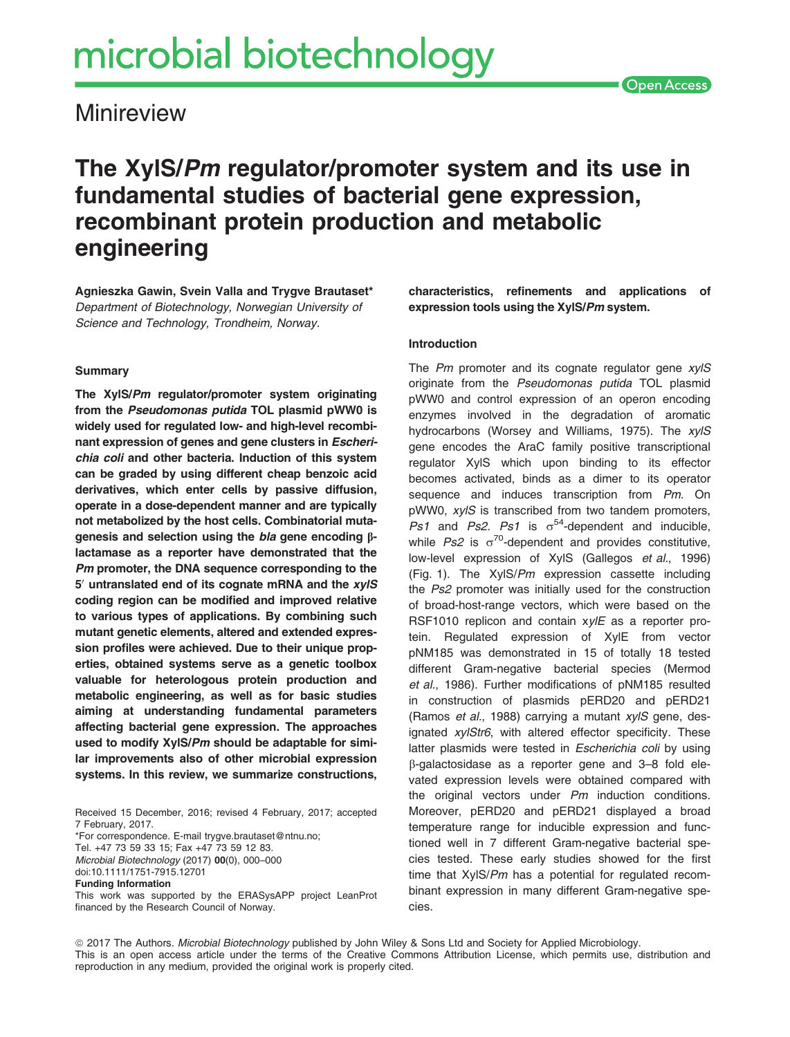**Minireview** 

# The XylS/Pm regulator/promoter system and its use in fundamental studies of bacterial gene expression, recombinant protein production and metabolic engineering

Agnieszka Gawin, Svein Valla and Trygve Brautaset\* Department of Biotechnology, Norwegian University of Science and Technology, Trondheim, Norway.

#### Summary

The XylS/Pm regulator/promoter system originating from the Pseudomonas putida TOL plasmid pWW0 is widely used for regulated low- and high-level recombinant expression of genes and gene clusters in Escherichia coli and other bacteria. Induction of this system can be graded by using different cheap benzoic acid derivatives, which enter cells by passive diffusion, operate in a dose-dependent manner and are typically not metabolized by the host cells. Combinatorial mutagenesis and selection using the bla gene encoding  $\beta$ lactamase as a reporter have demonstrated that the Pm promoter, the DNA sequence corresponding to the  $5'$  untranslated end of its cognate mRNA and the  $xy/S$ coding region can be modified and improved relative to various types of applications. By combining such mutant genetic elements, altered and extended expression profiles were achieved. Due to their unique properties, obtained systems serve as a genetic toolbox valuable for heterologous protein production and metabolic engineering, as well as for basic studies aiming at understanding fundamental parameters affecting bacterial gene expression. The approaches used to modify XylS/Pm should be adaptable for similar improvements also of other microbial expression systems. In this review, we summarize constructions,

Received 15 December, 2016; revised 4 February, 2017; accepted 7 February, 2017. \*For correspondence. E-mail trygve.brautaset@ntnu.no;

Tel. +47 73 59 33 15; Fax +47 73 59 12 83. Microbial Biotechnology (2017) 00(0), 000–000 doi:10.1111/1751-7915.12701 Funding Information

This work was supported by the ERASysAPP project LeanProt financed by the Research Council of Norway.

characteristics, refinements and applications of expression tools using the XylS/Pm system.

#### Introduction

The Pm promoter and its cognate regulator gene xvIS originate from the Pseudomonas putida TOL plasmid pWW0 and control expression of an operon encoding enzymes involved in the degradation of aromatic hydrocarbons (Worsey and Williams, 1975). The xylS gene encodes the AraC family positive transcriptional regulator XylS which upon binding to its effector becomes activated, binds as a dimer to its operator sequence and induces transcription from Pm. On pWW0, xylS is transcribed from two tandem promoters, Ps1 and Ps2. Ps1 is  $\sigma^{54}$ -dependent and inducible, while  $Ps2$  is  $\sigma^{70}$ -dependent and provides constitutive, low-level expression of XylS (Gallegos et al., 1996) (Fig. 1). The  $XyIS/Pm$  expression cassette including the Ps2 promoter was initially used for the construction of broad-host-range vectors, which were based on the RSF1010 replicon and contain xylE as a reporter protein. Regulated expression of XylE from vector pNM185 was demonstrated in 15 of totally 18 tested different Gram-negative bacterial species (Mermod et al., 1986). Further modifications of pNM185 resulted in construction of plasmids pERD20 and pERD21 (Ramos et al., 1988) carrying a mutant xylS gene, designated xylStr6, with altered effector specificity. These latter plasmids were tested in Escherichia coli by using b-galactosidase as a reporter gene and 3–8 fold elevated expression levels were obtained compared with the original vectors under Pm induction conditions. Moreover, pERD20 and pERD21 displayed a broad temperature range for inducible expression and functioned well in 7 different Gram-negative bacterial species tested. These early studies showed for the first time that XylS/Pm has a potential for regulated recombinant expression in many different Gram-negative species.

ª 2017 The Authors. Microbial Biotechnology published by John Wiley & Sons Ltd and Society for Applied Microbiology. This is an open access article under the terms of the [Creative Commons Attribution](http://creativecommons.org/licenses/by/4.0/) License, which permits use, distribution and reproduction in any medium, provided the original work is properly cited.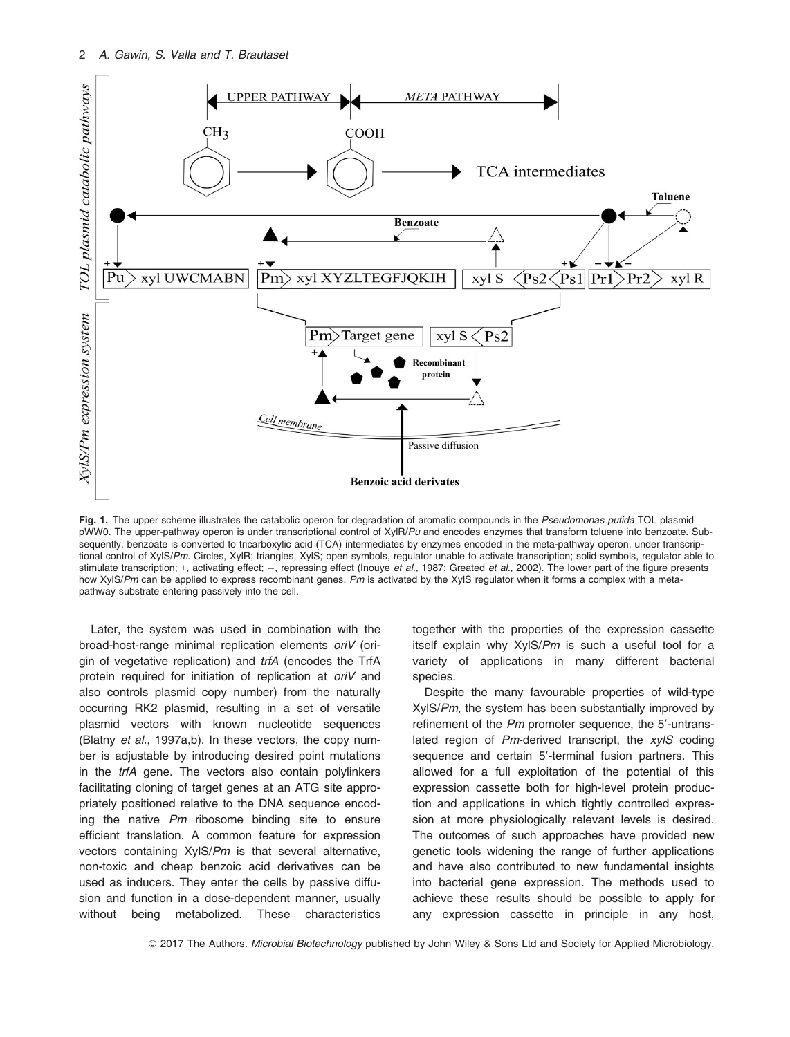

Fig. 1. The upper scheme illustrates the catabolic operon for degradation of aromatic compounds in the Pseudomonas putida TOL plasmid pWW0. The upper-pathway operon is under transcriptional control of XylR/Pu and encodes enzymes that transform toluene into benzoate. Subsequently, benzoate is converted to tricarboxylic acid (TCA) intermediates by enzymes encoded in the meta-pathway operon, under transcriptional control of XylS/Pm. Circles, XylR; triangles, XylS; open symbols, regulator unable to activate transcription; solid symbols, regulator able to stimulate transcription; +, activating effect; -, repressing effect (Inouye et al., 1987; Greated et al., 2002). The lower part of the figure presents how XylS/Pm can be applied to express recombinant genes. Pm is activated by the XylS regulator when it forms a complex with a metapathway substrate entering passively into the cell.

Later, the system was used in combination with the broad-host-range minimal replication elements oriV (origin of vegetative replication) and trfA (encodes the TrfA protein required for initiation of replication at oriV and also controls plasmid copy number) from the naturally occurring RK2 plasmid, resulting in a set of versatile plasmid vectors with known nucleotide sequences (Blatny et al., 1997a,b). In these vectors, the copy number is adjustable by introducing desired point mutations in the trfA gene. The vectors also contain polylinkers facilitating cloning of target genes at an ATG site appropriately positioned relative to the DNA sequence encoding the native Pm ribosome binding site to ensure efficient translation. A common feature for expression vectors containing XylS/Pm is that several alternative, non-toxic and cheap benzoic acid derivatives can be used as inducers. They enter the cells by passive diffusion and function in a dose-dependent manner, usually without being metabolized. These characteristics together with the properties of the expression cassette itself explain why XylS/Pm is such a useful tool for a variety of applications in many different bacterial species.

Despite the many favourable properties of wild-type XylS/Pm, the system has been substantially improved by refinement of the  $Pm$  promoter sequence, the  $5'$ -untranslated region of  $Pm$ -derived transcript, the  $xy/S$  coding sequence and certain 5'-terminal fusion partners. This allowed for a full exploitation of the potential of this expression cassette both for high-level protein production and applications in which tightly controlled expression at more physiologically relevant levels is desired. The outcomes of such approaches have provided new genetic tools widening the range of further applications and have also contributed to new fundamental insights into bacterial gene expression. The methods used to achieve these results should be possible to apply for any expression cassette in principle in any host,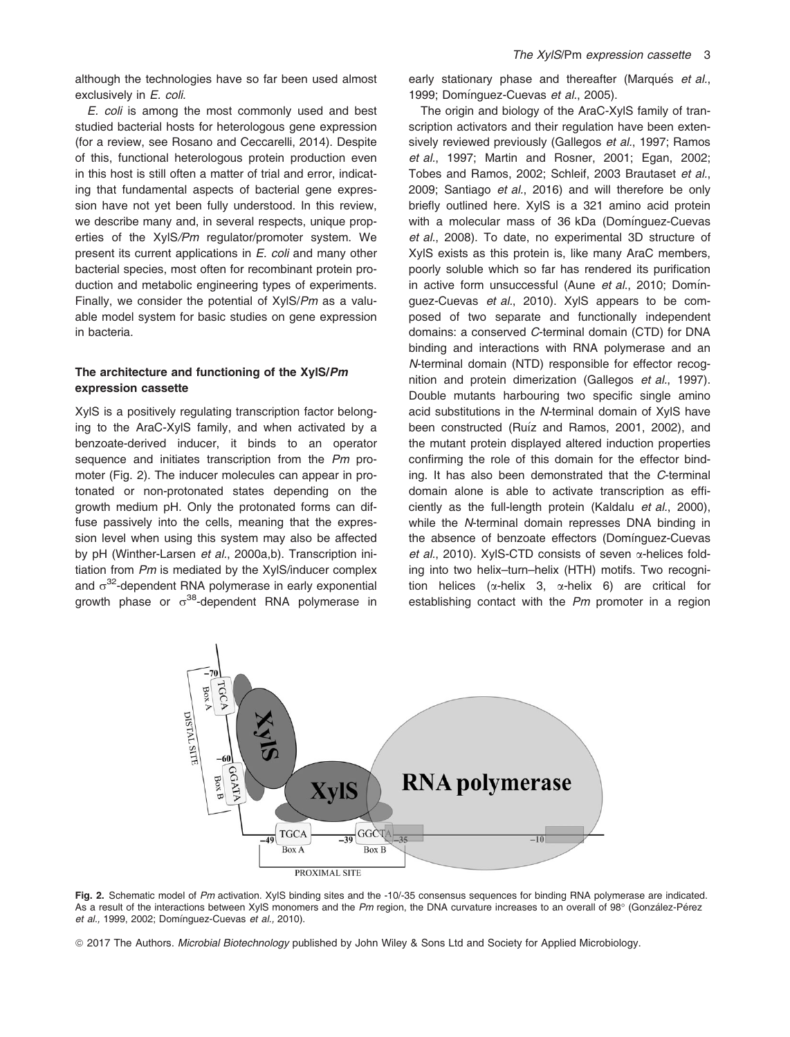although the technologies have so far been used almost exclusively in E. coli.

E. coli is among the most commonly used and best studied bacterial hosts for heterologous gene expression (for a review, see Rosano and Ceccarelli, 2014). Despite of this, functional heterologous protein production even in this host is still often a matter of trial and error, indicating that fundamental aspects of bacterial gene expression have not yet been fully understood. In this review, we describe many and, in several respects, unique properties of the XylS/Pm regulator/promoter system. We present its current applications in E. coli and many other bacterial species, most often for recombinant protein production and metabolic engineering types of experiments. Finally, we consider the potential of XylS/Pm as a valuable model system for basic studies on gene expression in bacteria.

#### The architecture and functioning of the XylS/Pm expression cassette

XylS is a positively regulating transcription factor belonging to the AraC-XylS family, and when activated by a benzoate-derived inducer, it binds to an operator sequence and initiates transcription from the Pm promoter (Fig. 2). The inducer molecules can appear in protonated or non-protonated states depending on the growth medium pH. Only the protonated forms can diffuse passively into the cells, meaning that the expression level when using this system may also be affected by pH (Winther-Larsen et al., 2000a,b). Transcription initiation from Pm is mediated by the XylS/inducer complex and  $\sigma^{32}$ -dependent RNA polymerase in early exponential arowth phase or  $\sigma^{38}$ -dependent RNA polymerase in early stationary phase and thereafter (Marqués et al., 1999; Domínguez-Cuevas et al., 2005).

The origin and biology of the AraC-XylS family of transcription activators and their regulation have been extensively reviewed previously (Gallegos et al., 1997; Ramos et al., 1997; Martin and Rosner, 2001; Egan, 2002; Tobes and Ramos, 2002; Schleif, 2003 Brautaset et al., 2009; Santiago et al., 2016) and will therefore be only briefly outlined here. XylS is a 321 amino acid protein with a molecular mass of 36 kDa (Domínguez-Cuevas et al., 2008). To date, no experimental 3D structure of XylS exists as this protein is, like many AraC members, poorly soluble which so far has rendered its purification in active form unsuccessful (Aune et al., 2010; Domínguez-Cuevas et al., 2010). XylS appears to be composed of two separate and functionally independent domains: a conserved C-terminal domain (CTD) for DNA binding and interactions with RNA polymerase and an N-terminal domain (NTD) responsible for effector recognition and protein dimerization (Gallegos et al., 1997). Double mutants harbouring two specific single amino acid substitutions in the N-terminal domain of XylS have been constructed (Ruíz and Ramos, 2001, 2002), and the mutant protein displayed altered induction properties confirming the role of this domain for the effector binding. It has also been demonstrated that the C-terminal domain alone is able to activate transcription as efficiently as the full-length protein (Kaldalu et al., 2000), while the N-terminal domain represses DNA binding in the absence of benzoate effectors (Domínguez-Cuevas et al., 2010). XylS-CTD consists of seven  $\alpha$ -helices folding into two helix–turn–helix (HTH) motifs. Two recognition helices ( $\alpha$ -helix 3,  $\alpha$ -helix 6) are critical for establishing contact with the Pm promoter in a region



Fig. 2. Schematic model of Pm activation. XylS binding sites and the -10/-35 consensus sequences for binding RNA polymerase are indicated. As a result of the interactions between XylS monomers and the Pm region, the DNA curvature increases to an overall of 98° (González-Pérez et al., 1999, 2002; Domínguez-Cuevas et al., 2010).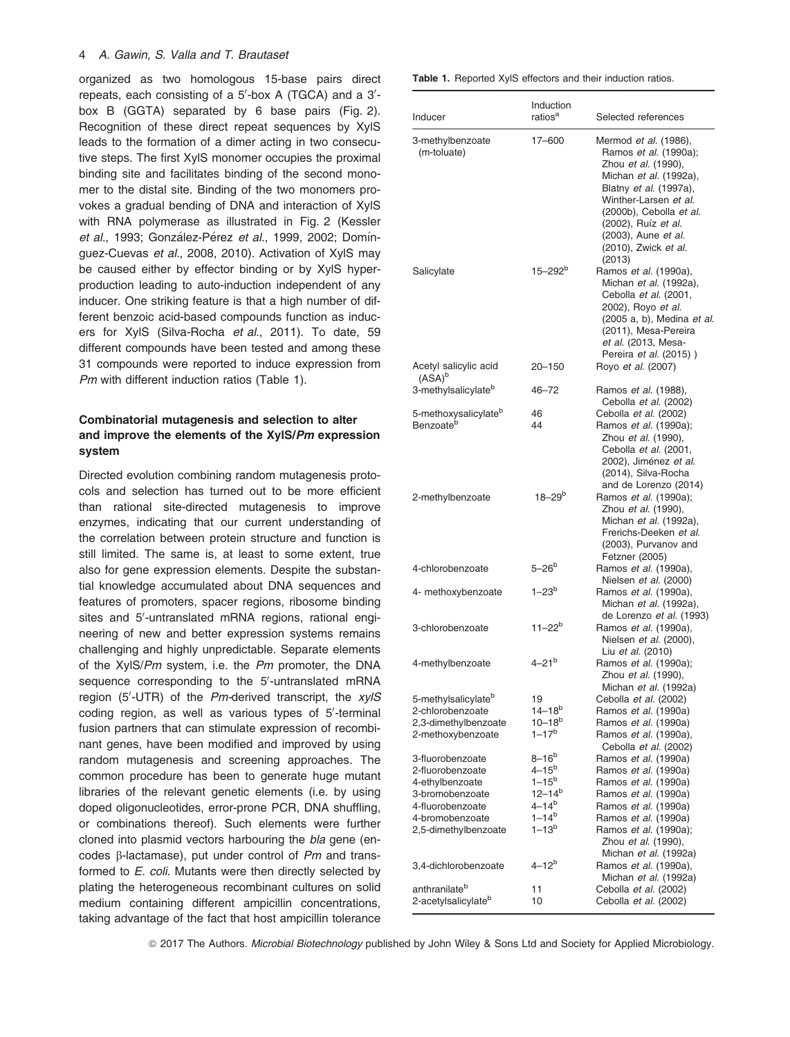#### 4 A. Gawin, S. Valla and T. Brautaset

organized as two homologous 15-base pairs direct repeats, each consisting of a  $5'$ -box A (TGCA) and a  $3'$ box B (GGTA) separated by 6 base pairs (Fig. 2). Recognition of these direct repeat sequences by XylS leads to the formation of a dimer acting in two consecutive steps. The first XylS monomer occupies the proximal binding site and facilitates binding of the second monomer to the distal site. Binding of the two monomers provokes a gradual bending of DNA and interaction of XylS with RNA polymerase as illustrated in Fig. 2 (Kessler et al., 1993; González-Pérez et al., 1999, 2002; Domínguez-Cuevas et al., 2008, 2010). Activation of XylS may be caused either by effector binding or by XylS hyperproduction leading to auto-induction independent of any inducer. One striking feature is that a high number of different benzoic acid-based compounds function as inducers for XylS (Silva-Rocha et al., 2011). To date, 59 different compounds have been tested and among these 31 compounds were reported to induce expression from Pm with different induction ratios (Table 1).

## Combinatorial mutagenesis and selection to alter and improve the elements of the XylS/Pm expression system

Directed evolution combining random mutagenesis protocols and selection has turned out to be more efficient than rational site-directed mutagenesis to improve enzymes, indicating that our current understanding of the correlation between protein structure and function is still limited. The same is, at least to some extent, true also for gene expression elements. Despite the substantial knowledge accumulated about DNA sequences and features of promoters, spacer regions, ribosome binding sites and 5'-untranslated mRNA regions, rational engineering of new and better expression systems remains challenging and highly unpredictable. Separate elements of the XylS/Pm system, i.e. the Pm promoter, the DNA sequence corresponding to the 5'-untranslated mRNA region (5'-UTR) of the Pm-derived transcript, the xylS coding region, as well as various types of 5'-terminal fusion partners that can stimulate expression of recombinant genes, have been modified and improved by using random mutagenesis and screening approaches. The common procedure has been to generate huge mutant libraries of the relevant genetic elements (i.e. by using doped oligonucleotides, error-prone PCR, DNA shuffling, or combinations thereof). Such elements were further cloned into plasmid vectors harbouring the bla gene (encodes  $\beta$ -lactamase), put under control of Pm and transformed to E. coli. Mutants were then directly selected by plating the heterogeneous recombinant cultures on solid medium containing different ampicillin concentrations, taking advantage of the fact that host ampicillin tolerance

| <b>Table 1.</b> Reported XyIS effectors and their induction ratios. |
|---------------------------------------------------------------------|
|---------------------------------------------------------------------|

| Inducer                                                   | Induction<br>ratios <sup>a</sup> | Selected references                                                                                                                                                                                                                                           |
|-----------------------------------------------------------|----------------------------------|---------------------------------------------------------------------------------------------------------------------------------------------------------------------------------------------------------------------------------------------------------------|
| 3-methylbenzoate<br>(m-toluate)                           | 17-600                           | Mermod et al. (1986),<br>Ramos et al. (1990a);<br>Zhou et al. (1990),<br>Michan et al. (1992a),<br>Blatny et al. (1997a),<br>Winther-Larsen et al.<br>(2000b), Cebolla et al.<br>(2002), Ruíz et al.<br>(2003), Aune et al.<br>(2010), Zwick et al.<br>(2013) |
| Salicylate                                                | $15 - 292^{\circ}$               | Ramos et al. (1990a),<br>Michan et al. (1992a),<br>Cebolla et al. (2001,<br>2002), Royo et al.<br>(2005 a, b), Medina et al.<br>(2011), Mesa-Pereira<br>et al. (2013, Mesa-<br>Pereira et al. (2015))                                                         |
| Acetyl salicylic acid<br>$(ASA)^b$                        | 20-150                           | Royo et al. (2007)                                                                                                                                                                                                                                            |
| 3-methylsalicylate <sup>b</sup>                           | $46 - 72$                        | Ramos et al. (1988),<br>Cebolla et al. (2002)                                                                                                                                                                                                                 |
| 5-methoxysalicylate <sup>b</sup><br>Benzoate <sup>b</sup> | 46<br>44                         | Cebolla et al. (2002)<br>Ramos et al. (1990a);<br>Zhou et al. (1990),<br>Cebolla et al. (2001,<br>2002), Jiménez et al.<br>(2014), Silva-Rocha                                                                                                                |
| 2-methylbenzoate                                          | $18 - 29^{b}$                    | and de Lorenzo (2014)<br>Ramos et al. (1990a);<br>Zhou et al. (1990),<br>Michan et al. (1992a),<br>Frerichs-Deeken et al.<br>(2003), Purvanov and<br>Fetzner (2005)                                                                                           |
| 4-chlorobenzoate                                          | $5 - 26^{\circ}$                 | Ramos et al. (1990a),<br>Nielsen et al. (2000)                                                                                                                                                                                                                |
| 4- methoxybenzoate                                        | $1 - 23^{b}$                     | Ramos et al. (1990a),<br>Michan et al. (1992a),<br>de Lorenzo et al. (1993)                                                                                                                                                                                   |
| 3-chlorobenzoate                                          | $11 - 22^{b}$                    | Ramos et al. (1990a),<br>Nielsen et al. (2000),<br>Liu et al. (2010)                                                                                                                                                                                          |
| 4-methylbenzoate                                          | $4 - 21^{b}$                     | Ramos et al. (1990a);<br>Zhou et al. (1990),<br>Michan <i>et al.</i> (1992a)                                                                                                                                                                                  |
| 5-methylsalicylate <sup>b</sup>                           | 19                               | Cebolla et al. (2002)                                                                                                                                                                                                                                         |
| 2-chlorobenzoate                                          | $14 - 18^{b}$                    | Ramos et al. (1990a)                                                                                                                                                                                                                                          |
| 2,3-dimethylbenzoate<br>2-methoxybenzoate                 | $10 - 18^{b}$<br>$1 - 17^{b}$    | Ramos et al. (1990a)<br>Ramos et al. (1990a),<br>Cebolla et al. (2002)                                                                                                                                                                                        |
| 3-fluorobenzoate                                          | $8-16^b$                         | Ramos et al. (1990a)                                                                                                                                                                                                                                          |
| 2-fluorobenzoate                                          | $4 - 15^{b}$                     | Ramos et al. (1990a)                                                                                                                                                                                                                                          |
| 4-ethylbenzoate                                           | $1 - 15^{b}$                     | Ramos et al. (1990a)                                                                                                                                                                                                                                          |
| 3-bromobenzoate                                           | $12 - 14^{b}$                    | Ramos et al. (1990a)                                                                                                                                                                                                                                          |
| 4-fluorobenzoate<br>4-bromobenzoate                       | $4 - 14^{b}$<br>$1 - 14^{b}$     | Ramos et al. (1990a)                                                                                                                                                                                                                                          |
| 2,5-dimethylbenzoate                                      | $1 - 13^{b}$                     | Ramos et al. (1990a)<br>Ramos et al. (1990a);<br>Zhou et al. (1990),                                                                                                                                                                                          |
| 3,4-dichlorobenzoate                                      | 4–12 <sup>b</sup>                | Michan et al. (1992a)<br>Ramos et al. (1990a),<br>Michan et al. (1992a)                                                                                                                                                                                       |
| anthranilate <sup>b</sup>                                 | 11                               | Cebolla et al. (2002)                                                                                                                                                                                                                                         |
| 2-acetylsalicylate <sup>b</sup>                           | 10                               | Cebolla et al. (2002)                                                                                                                                                                                                                                         |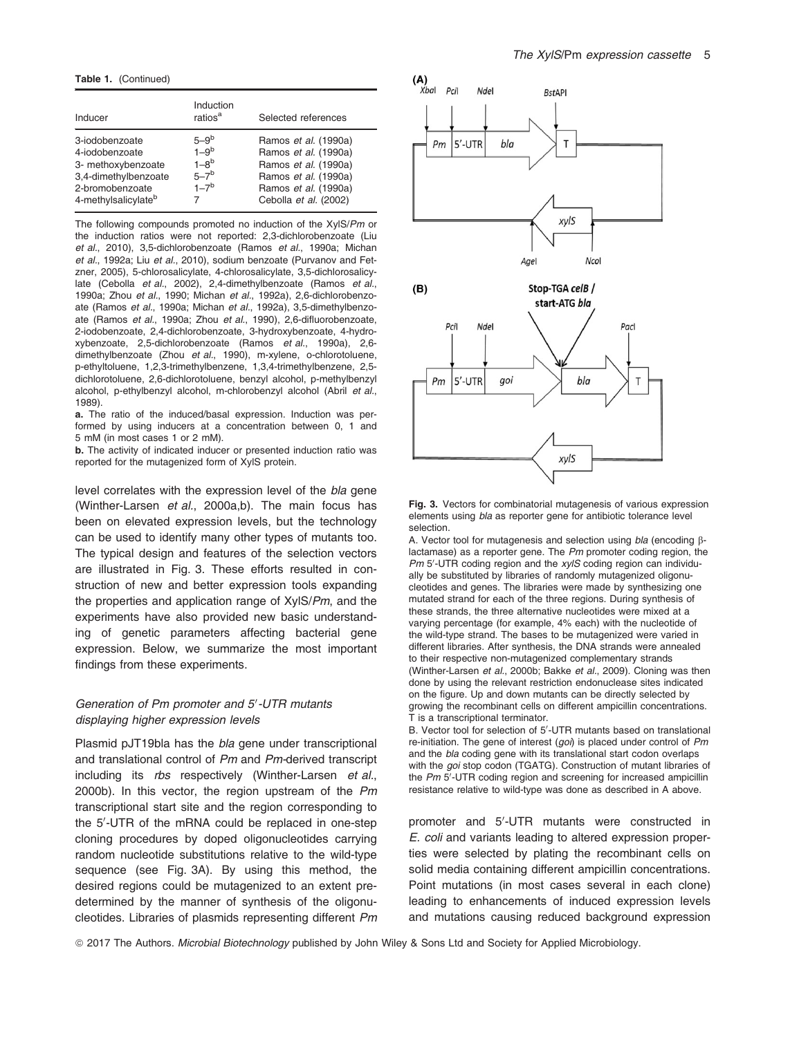Table 1. (Continued)

| Inducer                                                                                                                              | Induction<br>ratios <sup>a</sup>                     | Selected references                                                                                                                           |
|--------------------------------------------------------------------------------------------------------------------------------------|------------------------------------------------------|-----------------------------------------------------------------------------------------------------------------------------------------------|
| 3-iodobenzoate<br>4-iodobenzoate<br>3- methoxybenzoate<br>3,4-dimethylbenzoate<br>2-bromobenzoate<br>4-methylsalicylate <sup>b</sup> | $5-9b$<br>$1-9b$<br>$1 - 8b$<br>$5 - 7b$<br>$1 - 7b$ | Ramos et al. (1990a)<br>Ramos et al. (1990a)<br>Ramos et al. (1990a)<br>Ramos et al. (1990a)<br>Ramos et al. (1990a)<br>Cebolla et al. (2002) |

The following compounds promoted no induction of the XylS/Pm or the induction ratios were not reported: 2,3-dichlorobenzoate (Liu et al., 2010), 3,5-dichlorobenzoate (Ramos et al., 1990a; Michan et al., 1992a; Liu et al., 2010), sodium benzoate (Purvanov and Fetzner, 2005), 5-chlorosalicylate, 4-chlorosalicylate, 3,5-dichlorosalicylate (Cebolla et al., 2002), 2,4-dimethylbenzoate (Ramos et al., 1990a; Zhou et al., 1990; Michan et al., 1992a), 2,6-dichlorobenzoate (Ramos et al., 1990a; Michan et al., 1992a), 3,5-dimethylbenzoate (Ramos et al., 1990a; Zhou et al., 1990), 2,6-difluorobenzoate, 2-iodobenzoate, 2,4-dichlorobenzoate, 3-hydroxybenzoate, 4-hydroxybenzoate, 2,5-dichlorobenzoate (Ramos et al., 1990a), 2,6 dimethylbenzoate (Zhou et al., 1990), m-xylene, o-chlorotoluene, p-ethyltoluene, 1,2,3-trimethylbenzene, 1,3,4-trimethylbenzene, 2,5 dichlorotoluene, 2,6-dichlorotoluene, benzyl alcohol, p-methylbenzyl alcohol, p-ethylbenzyl alcohol, m-chlorobenzyl alcohol (Abril et al., 1989).

a. The ratio of the induced/basal expression. Induction was performed by using inducers at a concentration between 0, 1 and 5 mM (in most cases 1 or 2 mM).

b. The activity of indicated inducer or presented induction ratio was reported for the mutagenized form of XylS protein.

level correlates with the expression level of the bla gene (Winther-Larsen et al., 2000a,b). The main focus has been on elevated expression levels, but the technology can be used to identify many other types of mutants too. The typical design and features of the selection vectors are illustrated in Fig. 3. These efforts resulted in construction of new and better expression tools expanding the properties and application range of XylS/Pm, and the experiments have also provided new basic understanding of genetic parameters affecting bacterial gene expression. Below, we summarize the most important findings from these experiments.

#### Generation of Pm promoter and 5'-UTR mutants displaying higher expression levels

Plasmid pJT19bla has the bla gene under transcriptional and translational control of Pm and Pm-derived transcript including its rbs respectively (Winther-Larsen et al., 2000b). In this vector, the region upstream of the Pm transcriptional start site and the region corresponding to the 5'-UTR of the mRNA could be replaced in one-step cloning procedures by doped oligonucleotides carrying random nucleotide substitutions relative to the wild-type sequence (see Fig. 3A). By using this method, the desired regions could be mutagenized to an extent predetermined by the manner of synthesis of the oligonucleotides. Libraries of plasmids representing different Pm



Fig. 3. Vectors for combinatorial mutagenesis of various expression elements using bla as reporter gene for antibiotic tolerance level selection.

A. Vector tool for mutagenesis and selection using *bla* (encoding Blactamase) as a reporter gene. The Pm promoter coding region, the  $Pm$  5'-UTR coding region and the  $xy/S$  coding region can individually be substituted by libraries of randomly mutagenized oligonucleotides and genes. The libraries were made by synthesizing one mutated strand for each of the three regions. During synthesis of these strands, the three alternative nucleotides were mixed at a varying percentage (for example, 4% each) with the nucleotide of the wild-type strand. The bases to be mutagenized were varied in different libraries. After synthesis, the DNA strands were annealed to their respective non-mutagenized complementary strands (Winther-Larsen et al., 2000b; Bakke et al., 2009). Cloning was then done by using the relevant restriction endonuclease sites indicated on the figure. Up and down mutants can be directly selected by growing the recombinant cells on different ampicillin concentrations. T is a transcriptional terminator.

B. Vector tool for selection of 5'-UTR mutants based on translational re-initiation. The gene of interest  $(goi)$  is placed under control of Pm and the bla coding gene with its translational start codon overlaps with the goi stop codon (TGATG). Construction of mutant libraries of the Pm 5'-UTR coding region and screening for increased ampicillin resistance relative to wild-type was done as described in A above.

promoter and 5'-UTR mutants were constructed in E. coli and variants leading to altered expression properties were selected by plating the recombinant cells on solid media containing different ampicillin concentrations. Point mutations (in most cases several in each clone) leading to enhancements of induced expression levels and mutations causing reduced background expression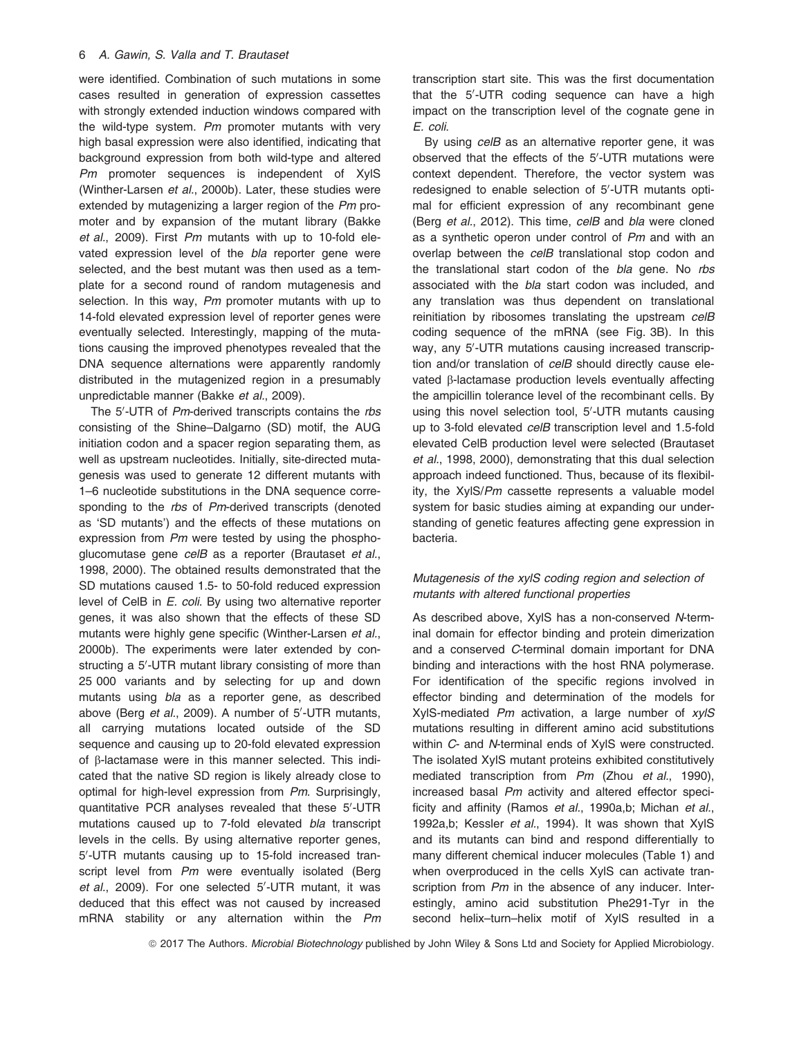were identified. Combination of such mutations in some cases resulted in generation of expression cassettes with strongly extended induction windows compared with the wild-type system. Pm promoter mutants with very high basal expression were also identified, indicating that background expression from both wild-type and altered Pm promoter sequences is independent of XylS (Winther-Larsen et al., 2000b). Later, these studies were extended by mutagenizing a larger region of the Pm promoter and by expansion of the mutant library (Bakke et al., 2009). First Pm mutants with up to 10-fold elevated expression level of the bla reporter gene were selected, and the best mutant was then used as a template for a second round of random mutagenesis and selection. In this way, Pm promoter mutants with up to 14-fold elevated expression level of reporter genes were eventually selected. Interestingly, mapping of the mutations causing the improved phenotypes revealed that the DNA sequence alternations were apparently randomly distributed in the mutagenized region in a presumably unpredictable manner (Bakke et al., 2009).

The 5'-UTR of Pm-derived transcripts contains the rbs consisting of the Shine–Dalgarno (SD) motif, the AUG initiation codon and a spacer region separating them, as well as upstream nucleotides. Initially, site-directed mutagenesis was used to generate 12 different mutants with 1–6 nucleotide substitutions in the DNA sequence corresponding to the rbs of Pm-derived transcripts (denoted as 'SD mutants') and the effects of these mutations on expression from Pm were tested by using the phosphoglucomutase gene celB as a reporter (Brautaset et al., 1998, 2000). The obtained results demonstrated that the SD mutations caused 1.5- to 50-fold reduced expression level of CelB in E. coli. By using two alternative reporter genes, it was also shown that the effects of these SD mutants were highly gene specific (Winther-Larsen et al., 2000b). The experiments were later extended by constructing a 5'-UTR mutant library consisting of more than 25 000 variants and by selecting for up and down mutants using bla as a reporter gene, as described above (Berg *et al.*, 2009). A number of 5'-UTR mutants, all carrying mutations located outside of the SD sequence and causing up to 20-fold elevated expression of b-lactamase were in this manner selected. This indicated that the native SD region is likely already close to optimal for high-level expression from Pm. Surprisingly, quantitative PCR analyses revealed that these 5'-UTR mutations caused up to 7-fold elevated bla transcript levels in the cells. By using alternative reporter genes, 5'-UTR mutants causing up to 15-fold increased transcript level from Pm were eventually isolated (Berg et al., 2009). For one selected 5'-UTR mutant, it was deduced that this effect was not caused by increased mRNA stability or any alternation within the Pm

transcription start site. This was the first documentation that the 5'-UTR coding sequence can have a high impact on the transcription level of the cognate gene in E. coli.

By using *celB* as an alternative reporter gene, it was observed that the effects of the  $5'$ -UTR mutations were context dependent. Therefore, the vector system was redesigned to enable selection of  $5'-UTR$  mutants optimal for efficient expression of any recombinant gene (Berg et al., 2012). This time, celB and bla were cloned as a synthetic operon under control of Pm and with an overlap between the celB translational stop codon and the translational start codon of the bla gene. No rbs associated with the bla start codon was included, and any translation was thus dependent on translational reinitiation by ribosomes translating the upstream celB coding sequence of the mRNA (see Fig. 3B). In this way, any 5'-UTR mutations causing increased transcription and/or translation of celB should directly cause elevated  $\beta$ -lactamase production levels eventually affecting the ampicillin tolerance level of the recombinant cells. By using this novel selection tool, 5'-UTR mutants causing up to 3-fold elevated celB transcription level and 1.5-fold elevated CelB production level were selected (Brautaset et al., 1998, 2000), demonstrating that this dual selection approach indeed functioned. Thus, because of its flexibility, the XylS/Pm cassette represents a valuable model system for basic studies aiming at expanding our understanding of genetic features affecting gene expression in bacteria.

## Mutagenesis of the xylS coding region and selection of mutants with altered functional properties

As described above, XylS has a non-conserved N-terminal domain for effector binding and protein dimerization and a conserved C-terminal domain important for DNA binding and interactions with the host RNA polymerase. For identification of the specific regions involved in effector binding and determination of the models for XylS-mediated Pm activation, a large number of xylS mutations resulting in different amino acid substitutions within C- and N-terminal ends of XylS were constructed. The isolated XylS mutant proteins exhibited constitutively mediated transcription from Pm (Zhou et al., 1990), increased basal Pm activity and altered effector specificity and affinity (Ramos et al., 1990a,b; Michan et al., 1992a,b; Kessler et al., 1994). It was shown that XylS and its mutants can bind and respond differentially to many different chemical inducer molecules (Table 1) and when overproduced in the cells XylS can activate transcription from Pm in the absence of any inducer. Interestingly, amino acid substitution Phe291-Tyr in the second helix-turn-helix motif of XylS resulted in a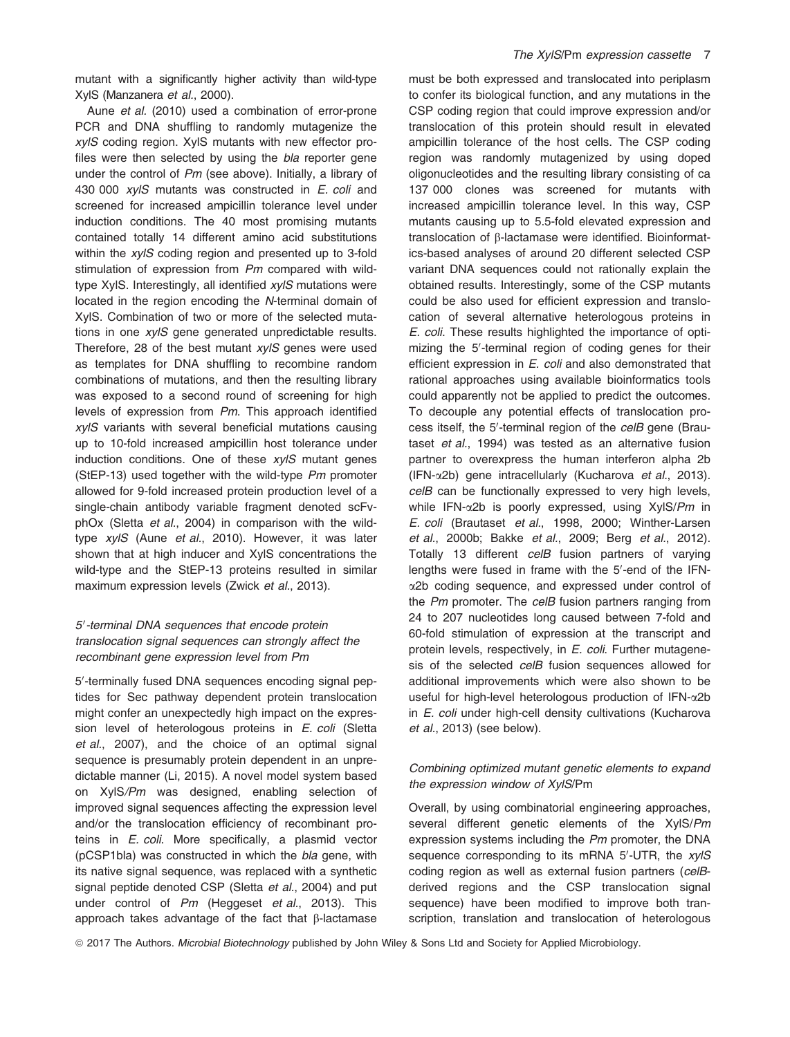mutant with a significantly higher activity than wild-type XylS (Manzanera et al., 2000).

Aune et al. (2010) used a combination of error-prone PCR and DNA shuffling to randomly mutagenize the xylS coding region. XylS mutants with new effector profiles were then selected by using the bla reporter gene under the control of Pm (see above). Initially, a library of 430 000 xylS mutants was constructed in E. coli and screened for increased ampicillin tolerance level under induction conditions. The 40 most promising mutants contained totally 14 different amino acid substitutions within the xylS coding region and presented up to 3-fold stimulation of expression from Pm compared with wildtype XylS. Interestingly, all identified xylS mutations were located in the region encoding the N-terminal domain of XylS. Combination of two or more of the selected mutations in one *xylS* gene generated unpredictable results. Therefore, 28 of the best mutant  $xy/S$  genes were used as templates for DNA shuffling to recombine random combinations of mutations, and then the resulting library was exposed to a second round of screening for high levels of expression from Pm. This approach identified xylS variants with several beneficial mutations causing up to 10-fold increased ampicillin host tolerance under induction conditions. One of these xylS mutant genes (StEP-13) used together with the wild-type Pm promoter allowed for 9-fold increased protein production level of a single-chain antibody variable fragment denoted scFvphOx (Sletta et al., 2004) in comparison with the wildtype xylS (Aune et al., 2010). However, it was later shown that at high inducer and XylS concentrations the wild-type and the StEP-13 proteins resulted in similar maximum expression levels (Zwick et al., 2013).

## 5'-terminal DNA sequences that encode protein translocation signal sequences can strongly affect the recombinant gene expression level from Pm

5'-terminally fused DNA sequences encoding signal peptides for Sec pathway dependent protein translocation might confer an unexpectedly high impact on the expression level of heterologous proteins in E. coli (Sletta et al., 2007), and the choice of an optimal signal sequence is presumably protein dependent in an unpredictable manner (Li, 2015). A novel model system based on XylS/Pm was designed, enabling selection of improved signal sequences affecting the expression level and/or the translocation efficiency of recombinant proteins in E. coli. More specifically, a plasmid vector (pCSP1bla) was constructed in which the bla gene, with its native signal sequence, was replaced with a synthetic signal peptide denoted CSP (Sletta et al., 2004) and put under control of Pm (Heggeset et al., 2013). This approach takes advantage of the fact that  $\beta$ -lactamase

must be both expressed and translocated into periplasm to confer its biological function, and any mutations in the CSP coding region that could improve expression and/or translocation of this protein should result in elevated ampicillin tolerance of the host cells. The CSP coding region was randomly mutagenized by using doped oligonucleotides and the resulting library consisting of ca 137 000 clones was screened for mutants with increased ampicillin tolerance level. In this way, CSP mutants causing up to 5.5-fold elevated expression and translocation of b-lactamase were identified. Bioinformatics-based analyses of around 20 different selected CSP variant DNA sequences could not rationally explain the obtained results. Interestingly, some of the CSP mutants could be also used for efficient expression and translocation of several alternative heterologous proteins in E. coli. These results highlighted the importance of optimizing the 5'-terminal region of coding genes for their efficient expression in E. coli and also demonstrated that rational approaches using available bioinformatics tools could apparently not be applied to predict the outcomes. To decouple any potential effects of translocation process itself, the 5'-terminal region of the celB gene (Brautaset et al., 1994) was tested as an alternative fusion partner to overexpress the human interferon alpha 2b (IFN- $\alpha$ 2b) gene intracellularly (Kucharova et al., 2013). celB can be functionally expressed to very high levels, while IFN- $\alpha$ 2b is poorly expressed, using XylS/Pm in E. coli (Brautaset et al., 1998, 2000; Winther-Larsen et al., 2000b; Bakke et al., 2009; Berg et al., 2012). Totally 13 different celB fusion partners of varying lengths were fused in frame with the 5'-end of the IFNa2b coding sequence, and expressed under control of the  $Pm$  promoter. The  $celB$  fusion partners ranging from 24 to 207 nucleotides long caused between 7-fold and 60-fold stimulation of expression at the transcript and protein levels, respectively, in E. coli. Further mutagenesis of the selected celB fusion sequences allowed for additional improvements which were also shown to be useful for high-level heterologous production of IFN-a2b in *E. coli* under high-cell density cultivations (Kucharova et al., 2013) (see below).

## Combining optimized mutant genetic elements to expand the expression window of XylS/Pm

Overall, by using combinatorial engineering approaches, several different genetic elements of the XvIS/Pm expression systems including the Pm promoter, the DNA sequence corresponding to its mRNA 5'-UTR, the xylS coding region as well as external fusion partners (celBderived regions and the CSP translocation signal sequence) have been modified to improve both transcription, translation and translocation of heterologous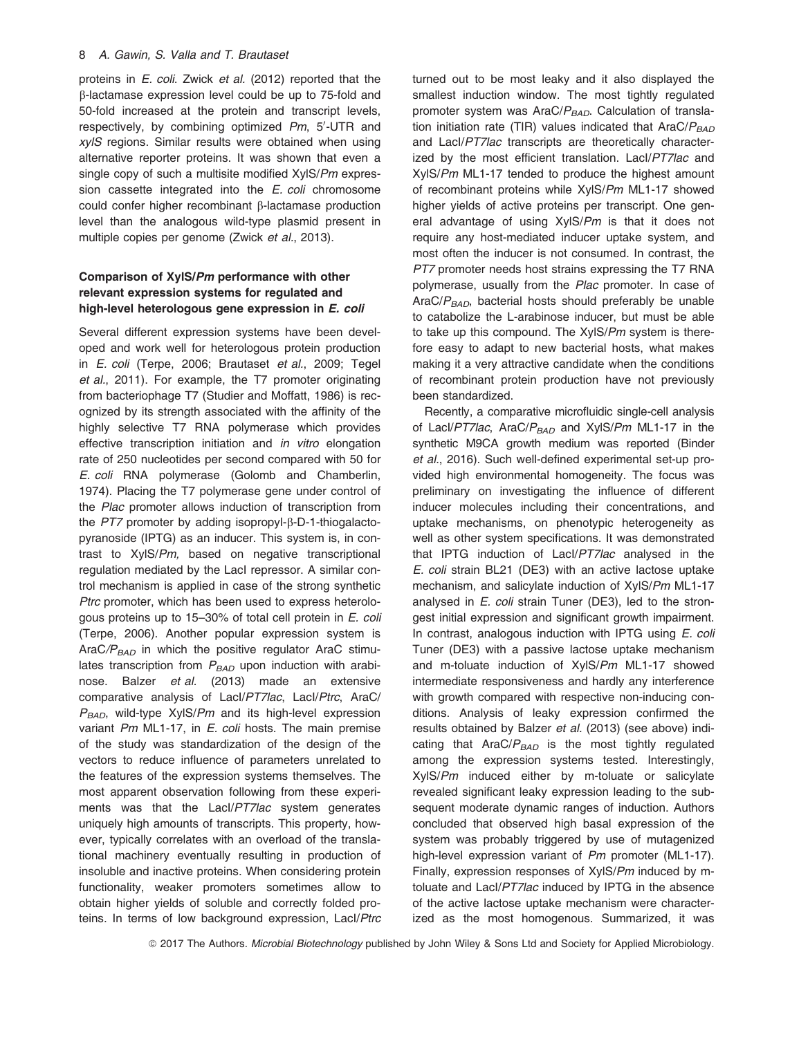proteins in E. coli. Zwick et al. (2012) reported that the b-lactamase expression level could be up to 75-fold and 50-fold increased at the protein and transcript levels, respectively, by combining optimized Pm, 5'-UTR and xylS regions. Similar results were obtained when using alternative reporter proteins. It was shown that even a single copy of such a multisite modified XylS/Pm expression cassette integrated into the *E. coli* chromosome could confer higher recombinant  $\beta$ -lactamase production level than the analogous wild-type plasmid present in multiple copies per genome (Zwick et al., 2013).

## Comparison of XylS/Pm performance with other relevant expression systems for regulated and high-level heterologous gene expression in E. coli

Several different expression systems have been developed and work well for heterologous protein production in E. coli (Terpe, 2006; Brautaset et al., 2009; Tegel et al., 2011). For example, the T7 promoter originating from bacteriophage T7 (Studier and Moffatt, 1986) is recognized by its strength associated with the affinity of the highly selective T7 RNA polymerase which provides effective transcription initiation and in vitro elongation rate of 250 nucleotides per second compared with 50 for E. coli RNA polymerase (Golomb and Chamberlin, 1974). Placing the T7 polymerase gene under control of the Plac promoter allows induction of transcription from the  $PT7$  promoter by adding isopropyl- $\beta$ -D-1-thiogalactopyranoside (IPTG) as an inducer. This system is, in contrast to XylS/Pm, based on negative transcriptional regulation mediated by the LacI repressor. A similar control mechanism is applied in case of the strong synthetic Ptrc promoter, which has been used to express heterologous proteins up to 15–30% of total cell protein in E. coli (Terpe, 2006). Another popular expression system is AraC/ $P_{BAD}$  in which the positive regulator AraC stimulates transcription from  $P_{BAD}$  upon induction with arabinose. Balzer et al. (2013) made an extensive comparative analysis of LacI/PT7lac, LacI/Ptrc, AraC/  $P_{BAD}$ , wild-type XyIS/Pm and its high-level expression variant Pm ML1-17, in E. coli hosts. The main premise of the study was standardization of the design of the vectors to reduce influence of parameters unrelated to the features of the expression systems themselves. The most apparent observation following from these experiments was that the Lacl/PT7lac system generates uniquely high amounts of transcripts. This property, however, typically correlates with an overload of the translational machinery eventually resulting in production of insoluble and inactive proteins. When considering protein functionality, weaker promoters sometimes allow to obtain higher yields of soluble and correctly folded proteins. In terms of low background expression, LacI/Ptrc turned out to be most leaky and it also displayed the smallest induction window. The most tightly regulated promoter system was AraC/ $P_{BAD}$ . Calculation of translation initiation rate (TIR) values indicated that  $AreaC/P<sub>BAD</sub>$ and LacI/PT7lac transcripts are theoretically characterized by the most efficient translation. Lacl/PT7lac and XylS/Pm ML1-17 tended to produce the highest amount of recombinant proteins while XylS/Pm ML1-17 showed higher yields of active proteins per transcript. One general advantage of using XylS/Pm is that it does not require any host-mediated inducer uptake system, and most often the inducer is not consumed. In contrast, the PT7 promoter needs host strains expressing the T7 RNA polymerase, usually from the Plac promoter. In case of AraC/ $P_{BAD}$ , bacterial hosts should preferably be unable to catabolize the L-arabinose inducer, but must be able to take up this compound. The XylS/Pm system is therefore easy to adapt to new bacterial hosts, what makes making it a very attractive candidate when the conditions of recombinant protein production have not previously been standardized.

Recently, a comparative microfluidic single-cell analysis of Lacl/PT7lac, AraC/ $P_{BAD}$  and XylS/Pm ML1-17 in the synthetic M9CA growth medium was reported (Binder et al., 2016). Such well-defined experimental set-up provided high environmental homogeneity. The focus was preliminary on investigating the influence of different inducer molecules including their concentrations, and uptake mechanisms, on phenotypic heterogeneity as well as other system specifications. It was demonstrated that IPTG induction of LacI/PT7lac analysed in the E. coli strain BL21 (DE3) with an active lactose uptake mechanism, and salicylate induction of XylS/Pm ML1-17 analysed in *E. coli* strain Tuner (DE3), led to the strongest initial expression and significant growth impairment. In contrast, analogous induction with IPTG using  $E$ . coli Tuner (DE3) with a passive lactose uptake mechanism and m-toluate induction of XylS/Pm ML1-17 showed intermediate responsiveness and hardly any interference with growth compared with respective non-inducing conditions. Analysis of leaky expression confirmed the results obtained by Balzer et al. (2013) (see above) indicating that AraC/ $P_{BAD}$  is the most tightly regulated among the expression systems tested. Interestingly, XylS/Pm induced either by m-toluate or salicylate revealed significant leaky expression leading to the subsequent moderate dynamic ranges of induction. Authors concluded that observed high basal expression of the system was probably triggered by use of mutagenized high-level expression variant of Pm promoter (ML1-17). Finally, expression responses of XylS/Pm induced by mtoluate and LacI/PT7lac induced by IPTG in the absence of the active lactose uptake mechanism were characterized as the most homogenous. Summarized, it was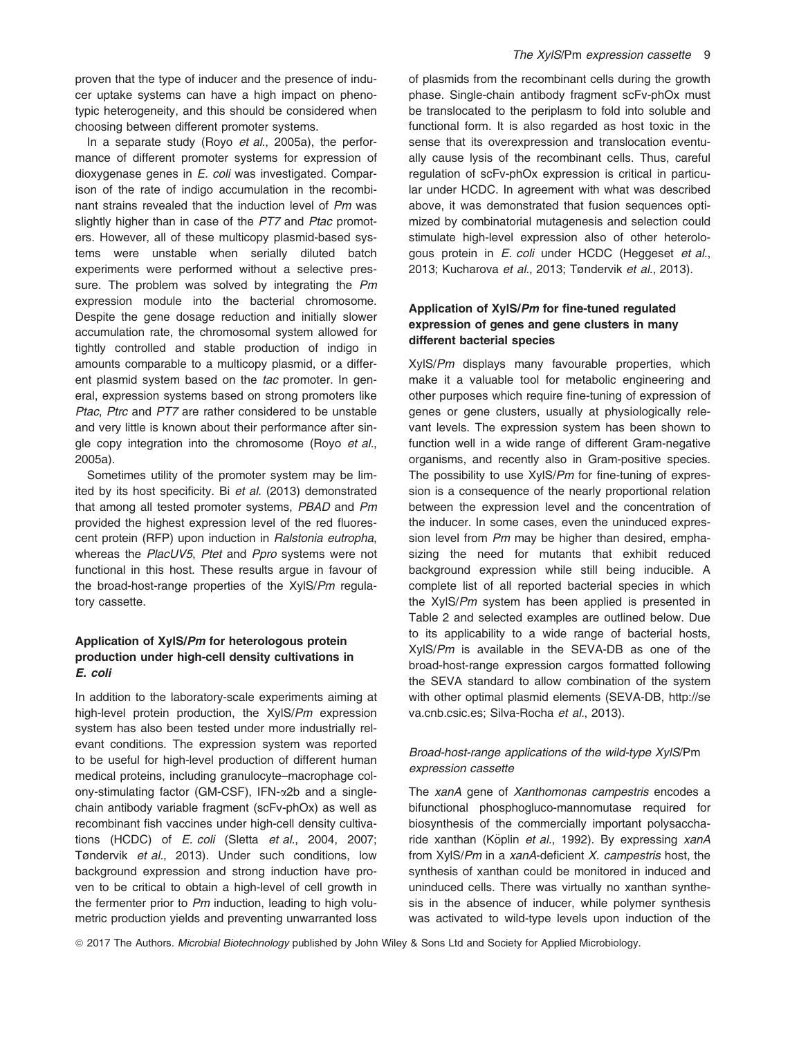proven that the type of inducer and the presence of inducer uptake systems can have a high impact on phenotypic heterogeneity, and this should be considered when choosing between different promoter systems.

In a separate study (Royo et al., 2005a), the performance of different promoter systems for expression of dioxygenase genes in E. coli was investigated. Comparison of the rate of indigo accumulation in the recombinant strains revealed that the induction level of Pm was slightly higher than in case of the PT7 and Ptac promoters. However, all of these multicopy plasmid-based systems were unstable when serially diluted batch experiments were performed without a selective pressure. The problem was solved by integrating the Pm expression module into the bacterial chromosome. Despite the gene dosage reduction and initially slower accumulation rate, the chromosomal system allowed for tightly controlled and stable production of indigo in amounts comparable to a multicopy plasmid, or a different plasmid system based on the tac promoter. In general, expression systems based on strong promoters like Ptac, Ptrc and PT7 are rather considered to be unstable and very little is known about their performance after single copy integration into the chromosome (Royo et al., 2005a).

Sometimes utility of the promoter system may be limited by its host specificity. Bi et al. (2013) demonstrated that among all tested promoter systems, PBAD and Pm provided the highest expression level of the red fluorescent protein (RFP) upon induction in Ralstonia eutropha, whereas the PlacUV5, Ptet and Ppro systems were not functional in this host. These results argue in favour of the broad-host-range properties of the XylS/Pm regulatory cassette.

## Application of XylS/Pm for heterologous protein production under high-cell density cultivations in E. coli

In addition to the laboratory-scale experiments aiming at high-level protein production, the XylS/Pm expression system has also been tested under more industrially relevant conditions. The expression system was reported to be useful for high-level production of different human medical proteins, including granulocyte–macrophage colony-stimulating factor (GM-CSF), IFN-a2b and a singlechain antibody variable fragment (scFv-phOx) as well as recombinant fish vaccines under high-cell density cultivations (HCDC) of E. coli (Sletta et al., 2004, 2007; Tøndervik et al., 2013). Under such conditions, low background expression and strong induction have proven to be critical to obtain a high-level of cell growth in the fermenter prior to Pm induction, leading to high volumetric production yields and preventing unwarranted loss

of plasmids from the recombinant cells during the growth phase. Single-chain antibody fragment scFv-phOx must be translocated to the periplasm to fold into soluble and functional form. It is also regarded as host toxic in the sense that its overexpression and translocation eventually cause lysis of the recombinant cells. Thus, careful regulation of scFv-phOx expression is critical in particular under HCDC. In agreement with what was described above, it was demonstrated that fusion sequences optimized by combinatorial mutagenesis and selection could stimulate high-level expression also of other heterologous protein in E. coli under HCDC (Heggeset et al., 2013; Kucharova et al., 2013; Tøndervik et al., 2013).

## Application of XylS/Pm for fine-tuned regulated expression of genes and gene clusters in many different bacterial species

XylS/Pm displays many favourable properties, which make it a valuable tool for metabolic engineering and other purposes which require fine-tuning of expression of genes or gene clusters, usually at physiologically relevant levels. The expression system has been shown to function well in a wide range of different Gram-negative organisms, and recently also in Gram-positive species. The possibility to use XylS/Pm for fine-tuning of expression is a consequence of the nearly proportional relation between the expression level and the concentration of the inducer. In some cases, even the uninduced expression level from Pm may be higher than desired, emphasizing the need for mutants that exhibit reduced background expression while still being inducible. A complete list of all reported bacterial species in which the XylS/Pm system has been applied is presented in Table 2 and selected examples are outlined below. Due to its applicability to a wide range of bacterial hosts, XylS/Pm is available in the SEVA-DB as one of the broad-host-range expression cargos formatted following the SEVA standard to allow combination of the system with other optimal plasmid elements (SEVA-DB, [http://se](http://seva.cnb.csic.es) [va.cnb.csic.es](http://seva.cnb.csic.es): Silva-Rocha et al., 2013).

## Broad-host-range applications of the wild-type XylS/Pm expression cassette

The xanA gene of Xanthomonas campestris encodes a bifunctional phosphogluco-mannomutase required for biosynthesis of the commercially important polysaccharide xanthan (Köplin et al., 1992). By expressing xanA from XylS/Pm in a xanA-deficient X. campestris host, the synthesis of xanthan could be monitored in induced and uninduced cells. There was virtually no xanthan synthesis in the absence of inducer, while polymer synthesis was activated to wild-type levels upon induction of the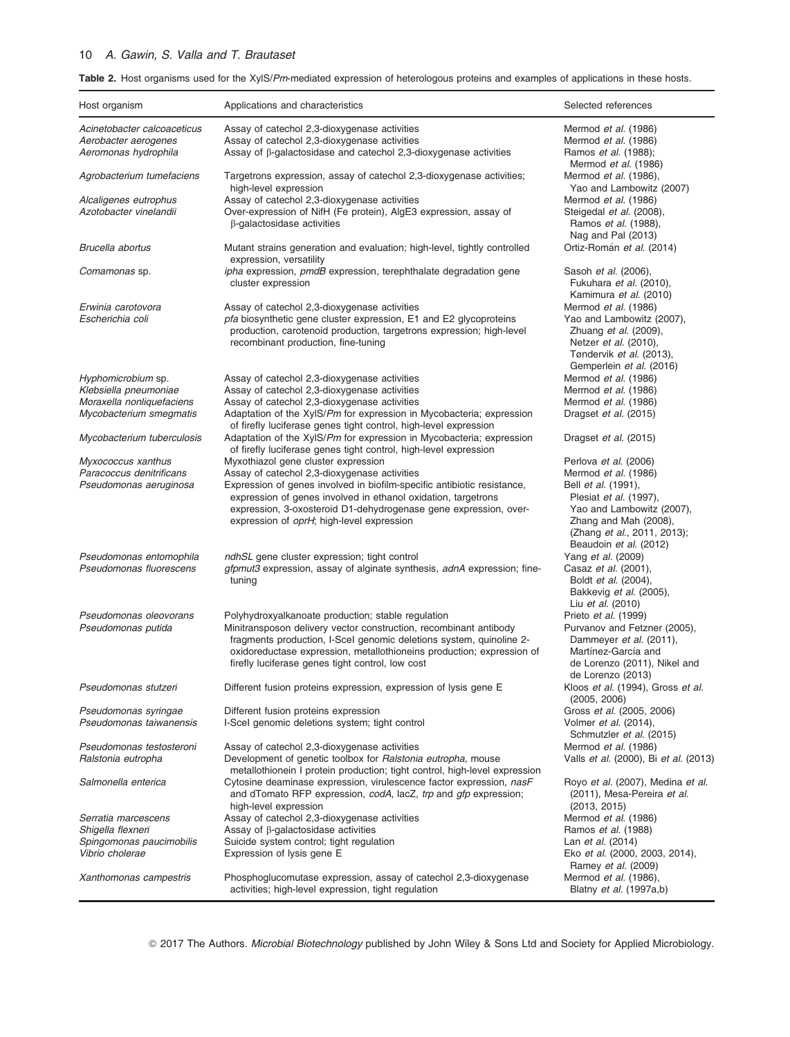## 10 A. Gawin, S. Valla and T. Brautaset

Table 2. Host organisms used for the XylS/Pm-mediated expression of heterologous proteins and examples of applications in these hosts.

| Host organism                                                                                       | Applications and characteristics                                                                                                                                                                                                                                                                                                                         | Selected references                                                                                                                                                                 |
|-----------------------------------------------------------------------------------------------------|----------------------------------------------------------------------------------------------------------------------------------------------------------------------------------------------------------------------------------------------------------------------------------------------------------------------------------------------------------|-------------------------------------------------------------------------------------------------------------------------------------------------------------------------------------|
| Acinetobacter calcoaceticus<br>Aerobacter aerogenes<br>Aeromonas hydrophila                         | Assay of catechol 2,3-dioxygenase activities<br>Assay of catechol 2,3-dioxygenase activities<br>Assay of $\beta$ -galactosidase and catechol 2,3-dioxygenase activities                                                                                                                                                                                  | Mermod et al. (1986)<br>Mermod et al. (1986)<br>Ramos et al. (1988);                                                                                                                |
| Agrobacterium tumefaciens                                                                           | Targetrons expression, assay of catechol 2,3-dioxygenase activities;<br>high-level expression                                                                                                                                                                                                                                                            | Mermod <i>et al.</i> (1986)<br>Mermod et al. (1986),<br>Yao and Lambowitz (2007)                                                                                                    |
| Alcaligenes eutrophus<br>Azotobacter vinelandii                                                     | Assay of catechol 2,3-dioxygenase activities<br>Over-expression of NifH (Fe protein), AlgE3 expression, assay of<br>$\beta$ -galactosidase activities                                                                                                                                                                                                    | Mermod et al. (1986)<br>Steigedal et al. (2008),<br>Ramos <i>et al.</i> (1988),                                                                                                     |
| Brucella abortus                                                                                    | Mutant strains generation and evaluation; high-level, tightly controlled<br>expression, versatility                                                                                                                                                                                                                                                      | Nag and Pal (2013)<br>Ortiz-Román et al. (2014)                                                                                                                                     |
| Comamonas sp.                                                                                       | ipha expression, pmdB expression, terephthalate degradation gene<br>cluster expression                                                                                                                                                                                                                                                                   | Sasoh et al. (2006),<br>Fukuhara et al. (2010),<br>Kamimura et al. (2010)                                                                                                           |
| Erwinia carotovora<br>Escherichia coli                                                              | Assay of catechol 2,3-dioxygenase activities<br>pfa biosynthetic gene cluster expression, E1 and E2 glycoproteins<br>production, carotenoid production, targetrons expression; high-level<br>recombinant production, fine-tuning                                                                                                                         | Mermod et al. (1986)<br>Yao and Lambowitz (2007),<br>Zhuang et al. (2009),<br>Netzer <i>et al.</i> (2010),<br>Tøndervik et al. (2013),<br>Gemperlein et al. (2016)                  |
| Hyphomicrobium sp.<br>Klebsiella pneumoniae<br>Moraxella nonliquefaciens<br>Mycobacterium smegmatis | Assay of catechol 2,3-dioxygenase activities<br>Assay of catechol 2,3-dioxygenase activities<br>Assay of catechol 2,3-dioxygenase activities<br>Adaptation of the XylS/Pm for expression in Mycobacteria; expression                                                                                                                                     | Mermod et al. (1986)<br>Mermod et al. (1986)<br>Mermod et al. (1986)<br>Dragset et al. (2015)                                                                                       |
| Mycobacterium tuberculosis                                                                          | of firefly luciferase genes tight control, high-level expression<br>Adaptation of the XyIS/Pm for expression in Mycobacteria; expression<br>of firefly luciferase genes tight control, high-level expression                                                                                                                                             | Dragset et al. (2015)                                                                                                                                                               |
| Myxococcus xanthus<br>Paracoccus denitrificans<br>Pseudomonas aeruginosa                            | Myxothiazol gene cluster expression<br>Assay of catechol 2,3-dioxygenase activities<br>Expression of genes involved in biofilm-specific antibiotic resistance,<br>expression of genes involved in ethanol oxidation, targetrons<br>expression, 3-oxosteroid D1-dehydrogenase gene expression, over-<br>expression of <i>oprH</i> ; high-level expression | Perlova et al. (2006)<br>Mermod et al. (1986)<br>Bell et al. (1991),<br>Plesiat et al. (1997),<br>Yao and Lambowitz (2007),<br>Zhang and Mah (2008),<br>(Zhang et al., 2011, 2013); |
| Pseudomonas entomophila<br>Pseudomonas fluorescens                                                  | <i>ndhSL</i> gene cluster expression; tight control<br><i>gfpmut3</i> expression, assay of alginate synthesis, <i>adnA</i> expression; fine-<br>tuning                                                                                                                                                                                                   | Beaudoin et al. (2012)<br>Yang <i>et al.</i> (2009)<br>Casaz et al. (2001),<br>Boldt <i>et al.</i> (2004),<br>Bakkevig et al. (2005),                                               |
| Pseudomonas oleovorans<br>Pseudomonas putida                                                        | Polyhydroxyalkanoate production; stable regulation<br>Minitransposon delivery vector construction, recombinant antibody<br>fragments production, I-Scel genomic deletions system, guinoline 2-<br>oxidoreductase expression, metallothioneins production; expression of<br>firefly luciferase genes tight control, low cost                              | Liu et al. (2010)<br>Prieto et al. (1999)<br>Purvanov and Fetzner (2005),<br>Dammeyer et al. (2011),<br>Martínez-García and<br>de Lorenzo (2011), Nikel and                         |
| Pseudomonas stutzeri                                                                                | Different fusion proteins expression, expression of lysis gene E                                                                                                                                                                                                                                                                                         | de Lorenzo (2013)<br>Kloos et al. (1994), Gross et al.<br>(2005, 2006)                                                                                                              |
| Pseudomonas syringae<br>Pseudomonas taiwanensis                                                     | Different fusion proteins expression<br>I-Scel genomic deletions system; tight control                                                                                                                                                                                                                                                                   | Gross et al. (2005, 2006)<br>Volmer et al. (2014),<br>Schmutzler et al. (2015)                                                                                                      |
| Pseudomonas testosteroni<br>Ralstonia eutropha                                                      | Assay of catechol 2,3-dioxygenase activities<br>Development of genetic toolbox for Ralstonia eutropha, mouse<br>metallothionein I protein production; tight control, high-level expression                                                                                                                                                               | Mermod et al. (1986)<br>Valls et al. (2000), Bi et al. (2013)                                                                                                                       |
| Salmonella enterica                                                                                 | Cytosine deaminase expression, virulescence factor expression, nasF<br>and dTomato RFP expression, codA, lacZ, trp and gfp expression;<br>high-level expression                                                                                                                                                                                          | Royo et al. (2007), Medina et al.<br>(2011), Mesa-Pereira et al.<br>(2013, 2015)                                                                                                    |
| Serratia marcescens                                                                                 | Assay of catechol 2,3-dioxygenase activities                                                                                                                                                                                                                                                                                                             | Mermod et al. (1986)                                                                                                                                                                |
| Shigella flexneri<br>Spingomonas paucimobilis<br>Vibrio cholerae                                    | Assay of $\beta$ -galactosidase activities<br>Suicide system control; tight regulation<br>Expression of lysis gene E                                                                                                                                                                                                                                     | Ramos <i>et al.</i> (1988)<br>Lan <i>et al.</i> (2014)<br>Eko et al. (2000, 2003, 2014),                                                                                            |
| Xanthomonas campestris                                                                              | Phosphoglucomutase expression, assay of catechol 2,3-dioxygenase<br>activities; high-level expression, tight regulation                                                                                                                                                                                                                                  | Ramey et al. (2009)<br>Mermod et al. (1986),<br>Blatny <i>et al.</i> (1997a,b)                                                                                                      |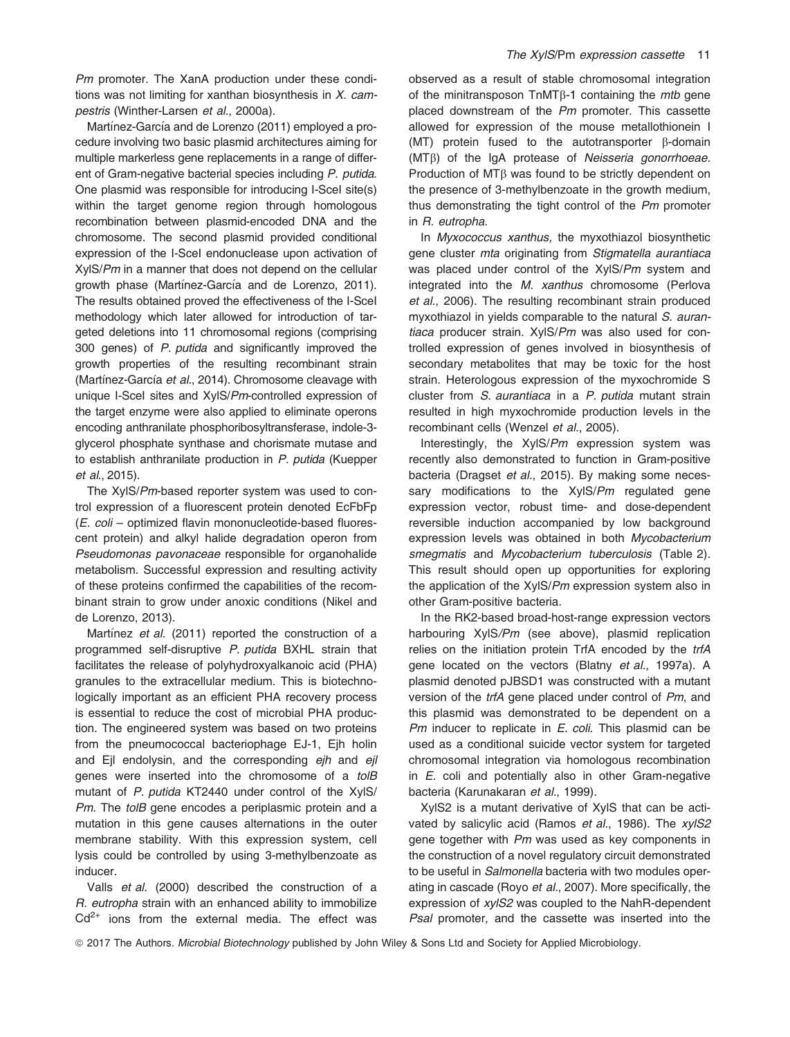Pm promoter. The XanA production under these conditions was not limiting for xanthan biosynthesis in  $X$ . campestris (Winther-Larsen et al., 2000a).

Martínez-García and de Lorenzo (2011) employed a procedure involving two basic plasmid architectures aiming for multiple markerless gene replacements in a range of different of Gram-negative bacterial species including P. putida. One plasmid was responsible for introducing I-SceI site(s) within the target genome region through homologous recombination between plasmid-encoded DNA and the chromosome. The second plasmid provided conditional expression of the I-SceI endonuclease upon activation of XylS/Pm in a manner that does not depend on the cellular growth phase (Martínez-García and de Lorenzo, 2011). The results obtained proved the effectiveness of the I-SceI methodology which later allowed for introduction of targeted deletions into 11 chromosomal regions (comprising 300 genes) of P. putida and significantly improved the growth properties of the resulting recombinant strain (Martínez-García et al., 2014). Chromosome cleavage with unique I-SceI sites and XylS/Pm-controlled expression of the target enzyme were also applied to eliminate operons encoding anthranilate phosphoribosyltransferase, indole-3 glycerol phosphate synthase and chorismate mutase and to establish anthranilate production in P. putida (Kuepper et al., 2015).

The XylS/Pm-based reporter system was used to control expression of a fluorescent protein denoted EcFbFp (E. coli – optimized flavin mononucleotide-based fluorescent protein) and alkyl halide degradation operon from Pseudomonas pavonaceae responsible for organohalide metabolism. Successful expression and resulting activity of these proteins confirmed the capabilities of the recombinant strain to grow under anoxic conditions (Nikel and de Lorenzo, 2013).

Martínez et al. (2011) reported the construction of a programmed self-disruptive P. putida BXHL strain that facilitates the release of polyhydroxyalkanoic acid (PHA) granules to the extracellular medium. This is biotechnologically important as an efficient PHA recovery process is essential to reduce the cost of microbial PHA production. The engineered system was based on two proteins from the pneumococcal bacteriophage EJ-1, Ejh holin and Ejl endolysin, and the corresponding ejh and ejl genes were inserted into the chromosome of a tolB mutant of P. putida KT2440 under control of the XylS/ Pm. The tolB gene encodes a periplasmic protein and a mutation in this gene causes alternations in the outer membrane stability. With this expression system, cell lysis could be controlled by using 3-methylbenzoate as inducer.

Valls et al. (2000) described the construction of a R. eutropha strain with an enhanced ability to immobilize  $Cd<sup>2+</sup>$  ions from the external media. The effect was

observed as a result of stable chromosomal integration of the minitransposon  $TnMT\beta-1$  containing the *mtb* gene placed downstream of the Pm promoter. This cassette allowed for expression of the mouse metallothionein I (MT) protein fused to the autotransporter  $\beta$ -domain  $(MT\beta)$  of the IgA protease of Neisseria gonorrhoeae. Production of MTB was found to be strictly dependent on the presence of 3-methylbenzoate in the growth medium, thus demonstrating the tight control of the Pm promoter in R. eutropha.

In Myxococcus xanthus, the myxothiazol biosynthetic gene cluster mta originating from Stigmatella aurantiaca was placed under control of the XylS/Pm system and integrated into the M. xanthus chromosome (Perlova et al., 2006). The resulting recombinant strain produced myxothiazol in yields comparable to the natural S. aurantiaca producer strain. XylS/Pm was also used for controlled expression of genes involved in biosynthesis of secondary metabolites that may be toxic for the host strain. Heterologous expression of the myxochromide S cluster from S. aurantiaca in a P. putida mutant strain resulted in high myxochromide production levels in the recombinant cells (Wenzel et al., 2005).

Interestingly, the XylS/Pm expression system was recently also demonstrated to function in Gram-positive bacteria (Dragset et al., 2015). By making some necessary modifications to the XylS/Pm regulated gene expression vector, robust time- and dose-dependent reversible induction accompanied by low background expression levels was obtained in both Mycobacterium smegmatis and Mycobacterium tuberculosis (Table 2). This result should open up opportunities for exploring the application of the XylS/Pm expression system also in other Gram-positive bacteria.

In the RK2-based broad-host-range expression vectors harbouring XylS/Pm (see above), plasmid replication relies on the initiation protein TrfA encoded by the trfA gene located on the vectors (Blatny et al., 1997a). A plasmid denoted pJBSD1 was constructed with a mutant version of the trfA gene placed under control of Pm, and this plasmid was demonstrated to be dependent on a Pm inducer to replicate in E. coli. This plasmid can be used as a conditional suicide vector system for targeted chromosomal integration via homologous recombination in E. coli and potentially also in other Gram-negative bacteria (Karunakaran et al., 1999).

XylS2 is a mutant derivative of XylS that can be activated by salicylic acid (Ramos et al., 1986). The xylS2 gene together with Pm was used as key components in the construction of a novel regulatory circuit demonstrated to be useful in Salmonella bacteria with two modules operating in cascade (Royo et al., 2007). More specifically, the expression of xylS2 was coupled to the NahR-dependent Psal promoter, and the cassette was inserted into the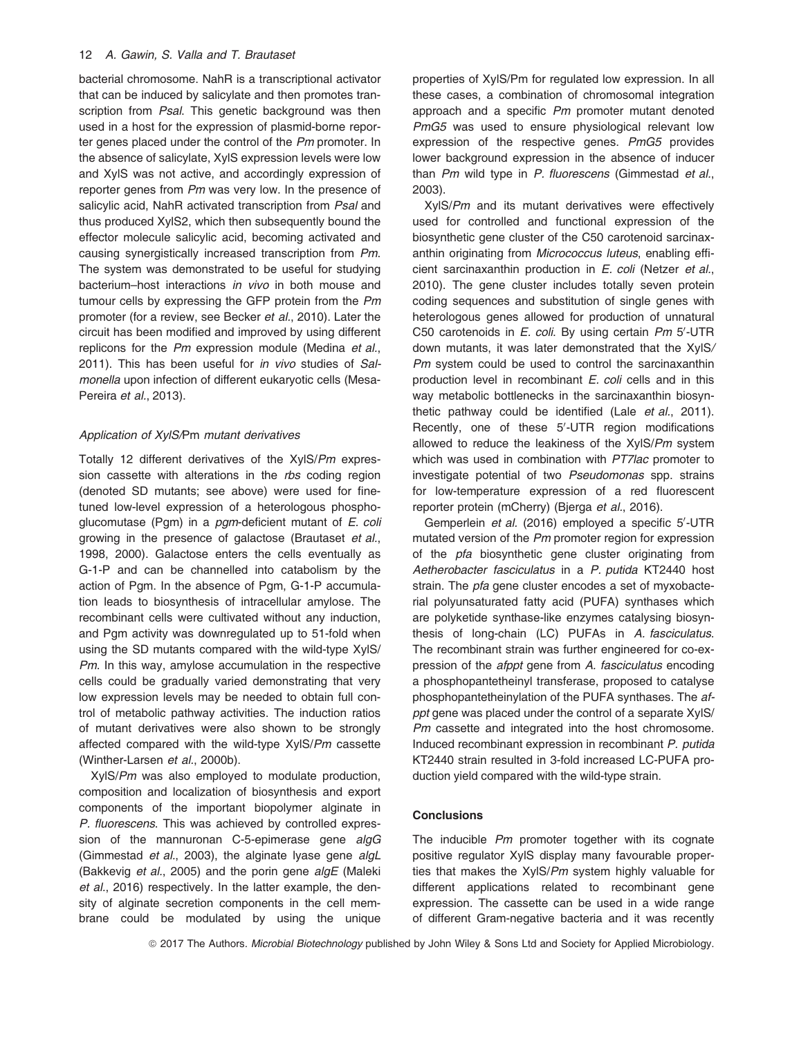bacterial chromosome. NahR is a transcriptional activator that can be induced by salicylate and then promotes transcription from Psal. This genetic background was then used in a host for the expression of plasmid-borne reporter genes placed under the control of the Pm promoter. In the absence of salicylate, XylS expression levels were low and XylS was not active, and accordingly expression of reporter genes from Pm was very low. In the presence of salicylic acid, NahR activated transcription from Psal and thus produced XylS2, which then subsequently bound the effector molecule salicylic acid, becoming activated and causing synergistically increased transcription from Pm. The system was demonstrated to be useful for studying bacterium–host interactions in vivo in both mouse and tumour cells by expressing the GFP protein from the Pm promoter (for a review, see Becker et al., 2010). Later the circuit has been modified and improved by using different replicons for the Pm expression module (Medina et al., 2011). This has been useful for in vivo studies of Salmonella upon infection of different eukaryotic cells (Mesa-Pereira et al., 2013).

#### Application of XylS/Pm mutant derivatives

Totally 12 different derivatives of the XylS/Pm expression cassette with alterations in the rbs coding region (denoted SD mutants; see above) were used for finetuned low-level expression of a heterologous phosphoglucomutase (Pgm) in a pgm-deficient mutant of E. coli growing in the presence of galactose (Brautaset et al., 1998, 2000). Galactose enters the cells eventually as G-1-P and can be channelled into catabolism by the action of Pgm. In the absence of Pgm, G-1-P accumulation leads to biosynthesis of intracellular amylose. The recombinant cells were cultivated without any induction, and Pgm activity was downregulated up to 51-fold when using the SD mutants compared with the wild-type XylS/ Pm. In this way, amylose accumulation in the respective cells could be gradually varied demonstrating that very low expression levels may be needed to obtain full control of metabolic pathway activities. The induction ratios of mutant derivatives were also shown to be strongly affected compared with the wild-type XylS/Pm cassette (Winther-Larsen et al., 2000b).

XylS/Pm was also employed to modulate production, composition and localization of biosynthesis and export components of the important biopolymer alginate in P. fluorescens. This was achieved by controlled expression of the mannuronan C-5-epimerase gene algG (Gimmestad et al., 2003), the alginate lyase gene algL (Bakkevig et al., 2005) and the porin gene algE (Maleki et al., 2016) respectively. In the latter example, the density of alginate secretion components in the cell membrane could be modulated by using the unique properties of XylS/Pm for regulated low expression. In all these cases, a combination of chromosomal integration approach and a specific Pm promoter mutant denoted PmG5 was used to ensure physiological relevant low expression of the respective genes. PmG5 provides lower background expression in the absence of inducer than Pm wild type in P. fluorescens (Gimmestad et al., 2003).

XylS/Pm and its mutant derivatives were effectively used for controlled and functional expression of the biosynthetic gene cluster of the C50 carotenoid sarcinaxanthin originating from Micrococcus luteus, enabling efficient sarcinaxanthin production in E. coli (Netzer et al., 2010). The gene cluster includes totally seven protein coding sequences and substitution of single genes with heterologous genes allowed for production of unnatural C50 carotenoids in  $E.$  coli. By using certain  $Pm$  5'-UTR down mutants, it was later demonstrated that the XylS/ Pm system could be used to control the sarcinaxanthin production level in recombinant E. coli cells and in this way metabolic bottlenecks in the sarcinaxanthin biosynthetic pathway could be identified (Lale et al., 2011). Recently, one of these 5'-UTR region modifications allowed to reduce the leakiness of the XylS/Pm system which was used in combination with PT7lac promoter to investigate potential of two Pseudomonas spp. strains for low-temperature expression of a red fluorescent reporter protein (mCherry) (Bjerga et al., 2016).

Gemperlein et al. (2016) employed a specific 5'-UTR mutated version of the Pm promoter region for expression of the pfa biosynthetic gene cluster originating from Aetherobacter fasciculatus in a P. putida KT2440 host strain. The *pfa* gene cluster encodes a set of myxobacterial polyunsaturated fatty acid (PUFA) synthases which are polyketide synthase-like enzymes catalysing biosynthesis of long-chain (LC) PUFAs in A. fasciculatus. The recombinant strain was further engineered for co-expression of the afppt gene from A. fasciculatus encoding a phosphopantetheinyl transferase, proposed to catalyse phosphopantetheinylation of the PUFA synthases. The afppt gene was placed under the control of a separate XylS/ Pm cassette and integrated into the host chromosome. Induced recombinant expression in recombinant P. putida KT2440 strain resulted in 3-fold increased LC-PUFA production yield compared with the wild-type strain.

#### **Conclusions**

The inducible Pm promoter together with its cognate positive regulator XylS display many favourable properties that makes the XylS/Pm system highly valuable for different applications related to recombinant gene expression. The cassette can be used in a wide range of different Gram-negative bacteria and it was recently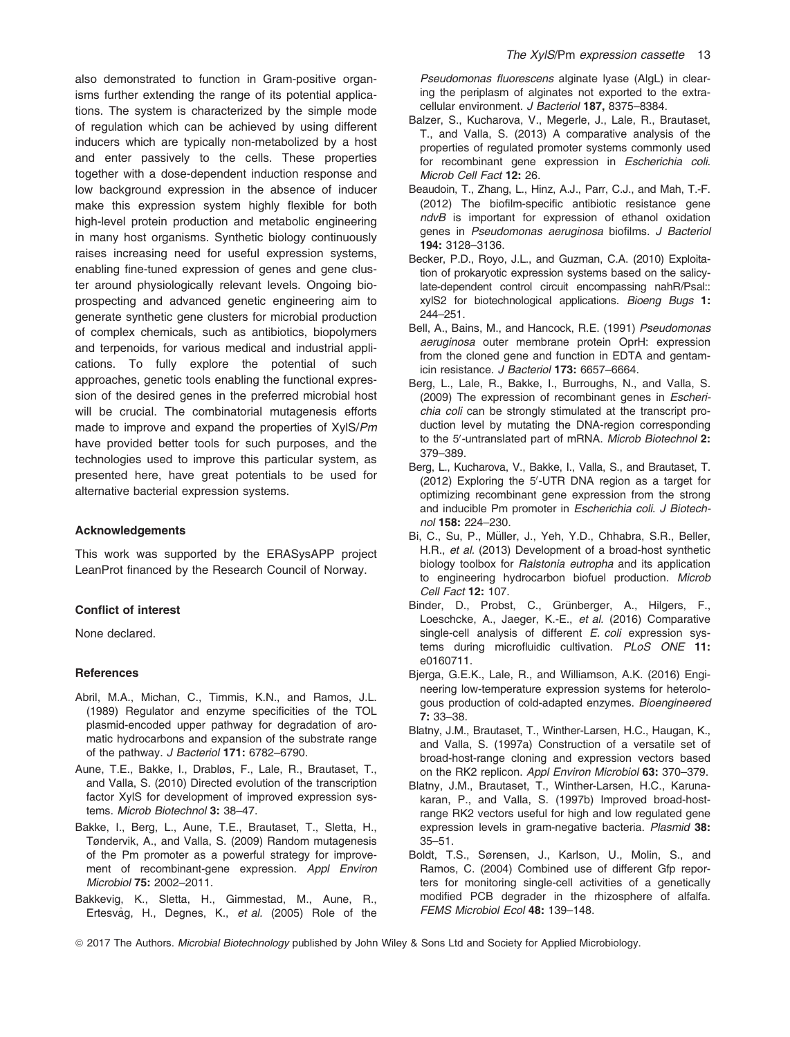also demonstrated to function in Gram-positive organisms further extending the range of its potential applications. The system is characterized by the simple mode of regulation which can be achieved by using different inducers which are typically non-metabolized by a host and enter passively to the cells. These properties together with a dose-dependent induction response and low background expression in the absence of inducer make this expression system highly flexible for both high-level protein production and metabolic engineering in many host organisms. Synthetic biology continuously raises increasing need for useful expression systems, enabling fine-tuned expression of genes and gene cluster around physiologically relevant levels. Ongoing bioprospecting and advanced genetic engineering aim to generate synthetic gene clusters for microbial production of complex chemicals, such as antibiotics, biopolymers and terpenoids, for various medical and industrial applications. To fully explore the potential of such approaches, genetic tools enabling the functional expression of the desired genes in the preferred microbial host will be crucial. The combinatorial mutagenesis efforts made to improve and expand the properties of XylS/Pm have provided better tools for such purposes, and the technologies used to improve this particular system, as presented here, have great potentials to be used for alternative bacterial expression systems.

#### Acknowledgements

This work was supported by the ERASysAPP project LeanProt financed by the Research Council of Norway.

#### Conflict of interest

None declared.

#### References

- Abril, M.A., Michan, C., Timmis, K.N., and Ramos, J.L. (1989) Regulator and enzyme specificities of the TOL plasmid-encoded upper pathway for degradation of aromatic hydrocarbons and expansion of the substrate range of the pathway. J Bacteriol 171: 6782-6790.
- Aune, T.E., Bakke, I., Drabløs, F., Lale, R., Brautaset, T., and Valla, S. (2010) Directed evolution of the transcription factor XylS for development of improved expression systems. Microb Biotechnol 3: 38–47.
- Bakke, I., Berg, L., Aune, T.E., Brautaset, T., Sletta, H., Tøndervik, A., and Valla, S. (2009) Random mutagenesis of the Pm promoter as a powerful strategy for improvement of recombinant-gene expression. Appl Environ Microbiol 75: 2002–2011.
- Bakkevig, K., Sletta, H., Gimmestad, M., Aune, R., Ertesvåg, H., Degnes, K., et al. (2005) Role of the

Pseudomonas fluorescens alginate lyase (AlgL) in clearing the periplasm of alginates not exported to the extracellular environment. J Bacteriol 187, 8375-8384.

- Balzer, S., Kucharova, V., Megerle, J., Lale, R., Brautaset, T., and Valla, S. (2013) A comparative analysis of the properties of regulated promoter systems commonly used for recombinant gene expression in Escherichia coli. Microb Cell Fact 12: 26.
- Beaudoin, T., Zhang, L., Hinz, A.J., Parr, C.J., and Mah, T.-F. (2012) The biofilm-specific antibiotic resistance gene ndvB is important for expression of ethanol oxidation genes in Pseudomonas aeruginosa biofilms. J Bacteriol 194: 3128–3136.
- Becker, P.D., Royo, J.L., and Guzman, C.A. (2010) Exploitation of prokaryotic expression systems based on the salicylate-dependent control circuit encompassing nahR/Psal:: xylS2 for biotechnological applications. Bioeng Bugs 1: 244–251.
- Bell, A., Bains, M., and Hancock, R.E. (1991) Pseudomonas aeruginosa outer membrane protein OprH: expression from the cloned gene and function in EDTA and gentamicin resistance. J Bacteriol 173: 6657–6664.
- Berg, L., Lale, R., Bakke, I., Burroughs, N., and Valla, S. (2009) The expression of recombinant genes in Escherichia coli can be strongly stimulated at the transcript production level by mutating the DNA-region corresponding to the 5'-untranslated part of mRNA. Microb Biotechnol 2: 379–389.
- Berg, L., Kucharova, V., Bakke, I., Valla, S., and Brautaset, T.  $(2012)$  Exploring the  $5'$ -UTR DNA region as a target for optimizing recombinant gene expression from the strong and inducible Pm promoter in Escherichia coli. J Biotechnol 158: 224–230.
- Bi, C., Su, P., Müller, J., Yeh, Y.D., Chhabra, S.R., Beller, H.R., et al. (2013) Development of a broad-host synthetic biology toolbox for Ralstonia eutropha and its application to engineering hydrocarbon biofuel production. Microb Cell Fact 12: 107.
- Binder, D., Probst, C., Grünberger, A., Hilgers, F., Loeschcke, A., Jaeger, K.-E., et al. (2016) Comparative single-cell analysis of different E. coli expression systems during microfluidic cultivation. PLoS ONE 11: e0160711.
- Bjerga, G.E.K., Lale, R., and Williamson, A.K. (2016) Engineering low-temperature expression systems for heterologous production of cold-adapted enzymes. Bioengineered 7: 33–38.
- Blatny, J.M., Brautaset, T., Winther-Larsen, H.C., Haugan, K., and Valla, S. (1997a) Construction of a versatile set of broad-host-range cloning and expression vectors based on the RK2 replicon. Appl Environ Microbiol 63: 370–379.
- Blatny, J.M., Brautaset, T., Winther-Larsen, H.C., Karunakaran, P., and Valla, S. (1997b) Improved broad-hostrange RK2 vectors useful for high and low regulated gene expression levels in gram-negative bacteria. Plasmid 38: 35–51.
- Boldt, T.S., Sørensen, J., Karlson, U., Molin, S., and Ramos, C. (2004) Combined use of different Gfp reporters for monitoring single-cell activities of a genetically modified PCB degrader in the rhizosphere of alfalfa. FEMS Microbiol Ecol 48: 139–148.

ª 2017 The Authors. Microbial Biotechnology published by John Wiley & Sons Ltd and Society for Applied Microbiology.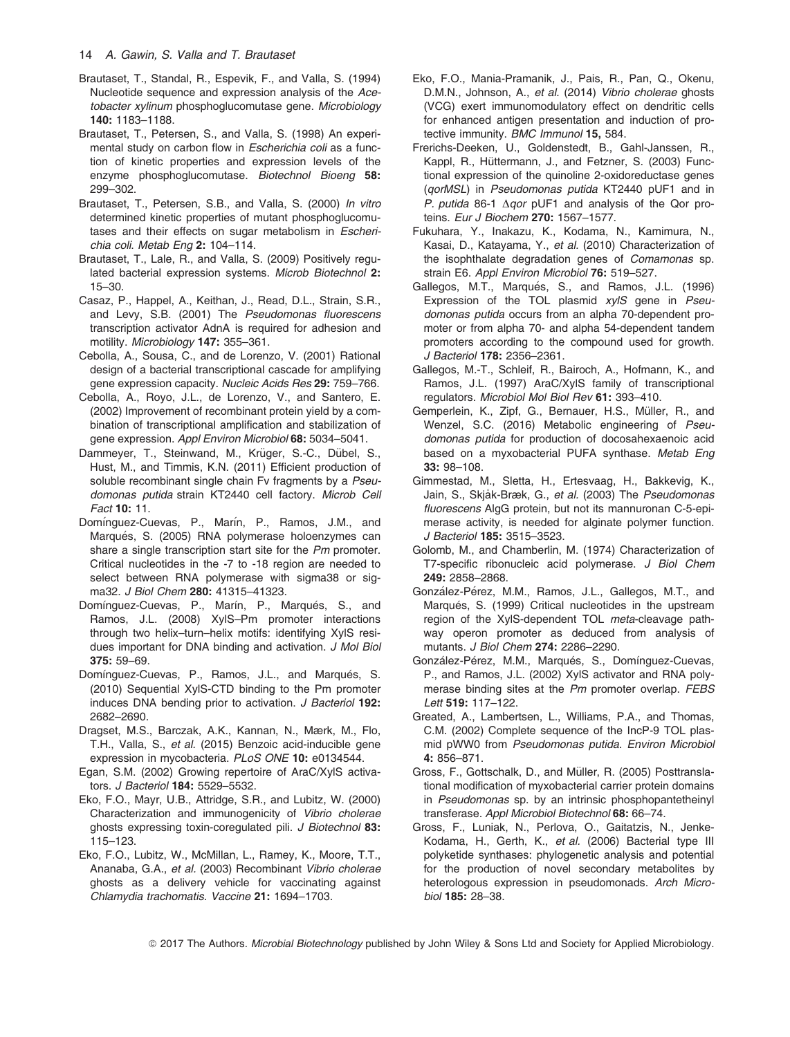- Brautaset, T., Standal, R., Espevik, F., and Valla, S. (1994) Nucleotide sequence and expression analysis of the Acetobacter xylinum phosphoglucomutase gene. Microbiology 140: 1183–1188.
- Brautaset, T., Petersen, S., and Valla, S. (1998) An experimental study on carbon flow in Escherichia coli as a function of kinetic properties and expression levels of the enzyme phosphoglucomutase. Biotechnol Bioeng 58: 299–302.
- Brautaset, T., Petersen, S.B., and Valla, S. (2000) In vitro determined kinetic properties of mutant phosphoglucomutases and their effects on sugar metabolism in Escherichia coli. Metab Eng 2: 104–114.
- Brautaset, T., Lale, R., and Valla, S. (2009) Positively regulated bacterial expression systems. Microb Biotechnol 2: 15–30.
- Casaz, P., Happel, A., Keithan, J., Read, D.L., Strain, S.R., and Levy, S.B. (2001) The Pseudomonas fluorescens transcription activator AdnA is required for adhesion and motility. Microbiology 147: 355-361.
- Cebolla, A., Sousa, C., and de Lorenzo, V. (2001) Rational design of a bacterial transcriptional cascade for amplifying gene expression capacity. Nucleic Acids Res 29: 759–766.
- Cebolla, A., Royo, J.L., de Lorenzo, V., and Santero, E. (2002) Improvement of recombinant protein yield by a combination of transcriptional amplification and stabilization of gene expression. Appl Environ Microbiol 68: 5034–5041.
- Dammeyer, T., Steinwand, M., Krüger, S.-C., Dübel, S., Hust, M., and Timmis, K.N. (2011) Efficient production of soluble recombinant single chain Fy fragments by a Pseudomonas putida strain KT2440 cell factory. Microb Cell Fact 10: 11.
- Domínguez-Cuevas, P., Marín, P., Ramos, J.M., and Marqués, S. (2005) RNA polymerase holoenzymes can share a single transcription start site for the Pm promoter. Critical nucleotides in the -7 to -18 region are needed to select between RNA polymerase with sigma38 or sigma32. J Biol Chem 280: 41315–41323.
- Domínguez-Cuevas, P., Marín, P., Marqués, S., and Ramos, J.L. (2008) XylS–Pm promoter interactions through two helix–turn–helix motifs: identifying XylS residues important for DNA binding and activation. J Mol Biol 375: 59–69.
- Domínguez-Cuevas, P., Ramos, J.L., and Marqués, S. (2010) Sequential XylS-CTD binding to the Pm promoter induces DNA bending prior to activation. J Bacteriol 192: 2682–2690.
- Dragset, M.S., Barczak, A.K., Kannan, N., Mærk, M., Flo, T.H., Valla, S., et al. (2015) Benzoic acid-inducible gene expression in mycobacteria. PLoS ONE 10: e0134544.
- Egan, S.M. (2002) Growing repertoire of AraC/XylS activators. J Bacteriol 184: 5529–5532.
- Eko, F.O., Mayr, U.B., Attridge, S.R., and Lubitz, W. (2000) Characterization and immunogenicity of Vibrio cholerae ghosts expressing toxin-coregulated pili. J Biotechnol 83: 115–123.
- Eko, F.O., Lubitz, W., McMillan, L., Ramey, K., Moore, T.T., Ananaba, G.A., et al. (2003) Recombinant Vibrio cholerae ghosts as a delivery vehicle for vaccinating against Chlamydia trachomatis. Vaccine 21: 1694–1703.
- Eko, F.O., Mania-Pramanik, J., Pais, R., Pan, Q., Okenu, D.M.N., Johnson, A., et al. (2014) Vibrio cholerae ghosts (VCG) exert immunomodulatory effect on dendritic cells for enhanced antigen presentation and induction of protective immunity. BMC Immunol 15, 584.
- Frerichs-Deeken, U., Goldenstedt, B., Gahl-Janssen, R., Kappl, R., Hüttermann, J., and Fetzner, S. (2003) Functional expression of the quinoline 2-oxidoreductase genes (qorMSL) in Pseudomonas putida KT2440 pUF1 and in P. putida 86-1  $\triangle$ gor pUF1 and analysis of the Qor proteins. Eur J Biochem 270: 1567-1577.
- Fukuhara, Y., Inakazu, K., Kodama, N., Kamimura, N., Kasai, D., Katayama, Y., et al. (2010) Characterization of the isophthalate degradation genes of Comamonas sp. strain E6. Appl Environ Microbiol 76: 519-527.
- Gallegos, M.T., Marqués, S., and Ramos, J.L. (1996) Expression of the TOL plasmid *xvIS* gene in Pseudomonas putida occurs from an alpha 70-dependent promoter or from alpha 70- and alpha 54-dependent tandem promoters according to the compound used for growth. J Bacteriol 178: 2356–2361.
- Gallegos, M.-T., Schleif, R., Bairoch, A., Hofmann, K., and Ramos, J.L. (1997) AraC/XylS family of transcriptional regulators. Microbiol Mol Biol Rev 61: 393–410.
- Gemperlein, K., Zipf, G., Bernauer, H.S., Müller, R., and Wenzel, S.C. (2016) Metabolic engineering of Pseudomonas putida for production of docosahexaenoic acid based on a myxobacterial PUFA synthase. Metab Eng 33: 98–108.
- Gimmestad, M., Sletta, H., Ertesvaag, H., Bakkevig, K., Jain, S., Skjåk-Bræk, G., et al. (2003) The Pseudomonas fluorescens AlgG protein, but not its mannuronan C-5-epimerase activity, is needed for alginate polymer function. J Bacteriol 185: 3515–3523.
- Golomb, M., and Chamberlin, M. (1974) Characterization of T7-specific ribonucleic acid polymerase. J Biol Chem 249: 2858–2868.
- González-Pérez, M.M., Ramos, J.L., Gallegos, M.T., and Marqués, S. (1999) Critical nucleotides in the upstream region of the XyIS-dependent TOL meta-cleavage pathway operon promoter as deduced from analysis of mutants. J Biol Chem 274: 2286–2290.
- González-Pérez, M.M., Marqués, S., Domínguez-Cuevas, P., and Ramos, J.L. (2002) XylS activator and RNA polymerase binding sites at the Pm promoter overlap. FEBS Lett 519: 117–122.
- Greated, A., Lambertsen, L., Williams, P.A., and Thomas, C.M. (2002) Complete sequence of the IncP-9 TOL plasmid pWW0 from Pseudomonas putida. Environ Microbiol 4: 856–871.
- Gross, F., Gottschalk, D., and Müller, R. (2005) Posttranslational modification of myxobacterial carrier protein domains in Pseudomonas sp. by an intrinsic phosphopantetheinyl transferase. Appl Microbiol Biotechnol 68: 66–74.
- Gross, F., Luniak, N., Perlova, O., Gaitatzis, N., Jenke-Kodama, H., Gerth, K., et al. (2006) Bacterial type III polyketide synthases: phylogenetic analysis and potential for the production of novel secondary metabolites by heterologous expression in pseudomonads. Arch Microbiol 185: 28–38.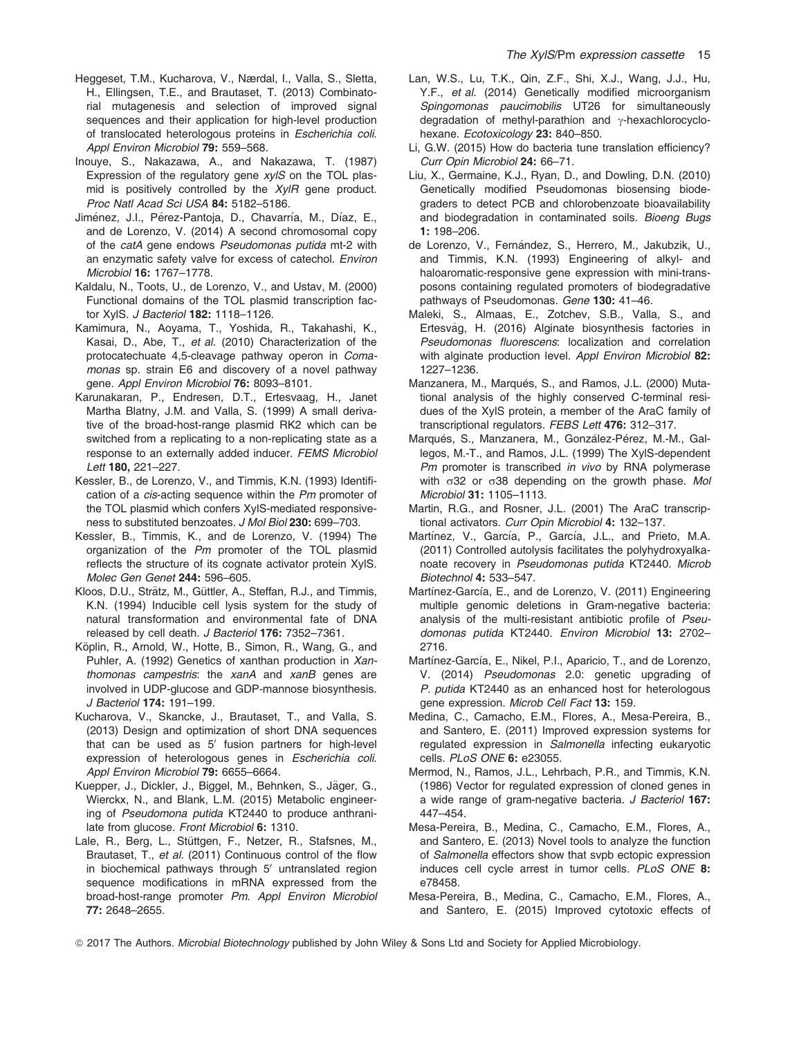- Heggeset, T.M., Kucharova, V., Nærdal, I., Valla, S., Sletta, H., Ellingsen, T.E., and Brautaset, T. (2013) Combinatorial mutagenesis and selection of improved signal sequences and their application for high-level production of translocated heterologous proteins in Escherichia coli. Appl Environ Microbiol 79: 559–568.
- Inouye, S., Nakazawa, A., and Nakazawa, T. (1987) Expression of the regulatory gene  $xy/S$  on the TOL plasmid is positively controlled by the *XyIR* gene product. Proc Natl Acad Sci USA 84: 5182–5186.
- Jiménez, J.I., Pérez-Pantoja, D., Chavarría, M., Díaz, E., and de Lorenzo, V. (2014) A second chromosomal copy of the catA gene endows Pseudomonas putida mt-2 with an enzymatic safety valve for excess of catechol. Environ Microbiol 16: 1767–1778.
- Kaldalu, N., Toots, U., de Lorenzo, V., and Ustav, M. (2000) Functional domains of the TOL plasmid transcription factor XylS. J Bacteriol 182: 1118–1126.
- Kamimura, N., Aoyama, T., Yoshida, R., Takahashi, K., Kasai, D., Abe, T., et al. (2010) Characterization of the protocatechuate 4,5-cleavage pathway operon in Comamonas sp. strain E6 and discovery of a novel pathway gene. Appl Environ Microbiol 76: 8093–8101.
- Karunakaran, P., Endresen, D.T., Ertesvaag, H., Janet Martha Blatny, J.M. and Valla, S. (1999) A small derivative of the broad-host-range plasmid RK2 which can be switched from a replicating to a non-replicating state as a response to an externally added inducer. FEMS Microbiol Lett 180, 221–227.
- Kessler, B., de Lorenzo, V., and Timmis, K.N. (1993) Identification of a *cis*-acting sequence within the Pm promoter of the TOL plasmid which confers XylS-mediated responsiveness to substituted benzoates. J Mol Biol 230: 699–703.
- Kessler, B., Timmis, K., and de Lorenzo, V. (1994) The organization of the Pm promoter of the TOL plasmid reflects the structure of its cognate activator protein XylS. Molec Gen Genet 244: 596–605.
- Kloos, D.U., Strätz, M., Güttler, A., Steffan, R.J., and Timmis, K.N. (1994) Inducible cell lysis system for the study of natural transformation and environmental fate of DNA released by cell death. J Bacteriol 176: 7352-7361.
- Köplin, R., Arnold, W., Hotte, B., Simon, R., Wang, G., and Puhler, A. (1992) Genetics of xanthan production in Xanthomonas campestris: the xanA and xanB genes are involved in UDP-glucose and GDP-mannose biosynthesis. J Bacteriol 174: 191–199.
- Kucharova, V., Skancke, J., Brautaset, T., and Valla, S. (2013) Design and optimization of short DNA sequences that can be used as  $5'$  fusion partners for high-level expression of heterologous genes in Escherichia coli. Appl Environ Microbiol 79: 6655-6664.
- Kuepper, J., Dickler, J., Biggel, M., Behnken, S., Jäger, G., Wierckx, N., and Blank, L.M. (2015) Metabolic engineering of Pseudomona putida KT2440 to produce anthranilate from glucose. Front Microbiol 6: 1310.
- Lale, R., Berg, L., Stüttgen, F., Netzer, R., Stafsnes, M., Brautaset, T., et al. (2011) Continuous control of the flow in biochemical pathways through 5' untranslated region sequence modifications in mRNA expressed from the broad-host-range promoter Pm. Appl Environ Microbiol 77: 2648–2655.
- Lan, W.S., Lu, T.K., Qin, Z.F., Shi, X.J., Wang, J.J., Hu, Y.F., et al. (2014) Genetically modified microorganism Spingomonas paucimobilis UT26 for simultaneously degradation of methyl-parathion and  $\gamma$ -hexachlorocyclohexane. Ecotoxicology 23: 840-850.
- Li, G.W. (2015) How do bacteria tune translation efficiency? Curr Opin Microbiol 24: 66–71.
- Liu, X., Germaine, K.J., Ryan, D., and Dowling, D.N. (2010) Genetically modified Pseudomonas biosensing biodegraders to detect PCB and chlorobenzoate bioavailability and biodegradation in contaminated soils. Bioeng Bugs 1: 198–206.
- de Lorenzo, V., Fernández, S., Herrero, M., Jakubzik, U., and Timmis, K.N. (1993) Engineering of alkyl- and haloaromatic-responsive gene expression with mini-transposons containing regulated promoters of biodegradative pathways of Pseudomonas. Gene 130: 41-46.
- Maleki, S., Almaas, E., Zotchev, S.B., Valla, S., and Ertesvag, H. (2016) Alginate biosynthesis factories in Pseudomonas fluorescens: localization and correlation with alginate production level. Appl Environ Microbiol 82: 1227–1236.
- Manzanera, M., Marqués, S., and Ramos, J.L. (2000) Mutational analysis of the highly conserved C-terminal residues of the XylS protein, a member of the AraC family of transcriptional regulators. FEBS Lett 476: 312–317.
- Marqués, S., Manzanera, M., González-Pérez, M.-M., Gallegos, M.-T., and Ramos, J.L. (1999) The XylS-dependent Pm promoter is transcribed in vivo by RNA polymerase with  $\sigma$ 32 or  $\sigma$ 38 depending on the growth phase. Mol Microbiol 31: 1105–1113.
- Martin, R.G., and Rosner, J.L. (2001) The AraC transcriptional activators. Curr Opin Microbiol 4: 132–137.
- Martínez, V., García, P., García, J.L., and Prieto, M.A. (2011) Controlled autolysis facilitates the polyhydroxyalkanoate recovery in Pseudomonas putida KT2440. Microb Biotechnol 4: 533–547.
- Martínez-García, E., and de Lorenzo, V. (2011) Engineering multiple genomic deletions in Gram-negative bacteria: analysis of the multi-resistant antibiotic profile of Pseudomonas putida KT2440. Environ Microbiol 13: 2702– 2716.
- Martínez-García, E., Nikel, P.I., Aparicio, T., and de Lorenzo, V. (2014) Pseudomonas 2.0: genetic upgrading of P. putida KT2440 as an enhanced host for heterologous gene expression. Microb Cell Fact 13: 159.
- Medina, C., Camacho, E.M., Flores, A., Mesa-Pereira, B., and Santero, E. (2011) Improved expression systems for regulated expression in Salmonella infecting eukaryotic cells. PLoS ONE 6: e23055.
- Mermod, N., Ramos, J.L., Lehrbach, P.R., and Timmis, K.N. (1986) Vector for regulated expression of cloned genes in a wide range of gram-negative bacteria. J Bacteriol 167: 447–454.
- Mesa-Pereira, B., Medina, C., Camacho, E.M., Flores, A., and Santero, E. (2013) Novel tools to analyze the function of Salmonella effectors show that svpb ectopic expression induces cell cycle arrest in tumor cells. PLoS ONE 8: e78458.
- Mesa-Pereira, B., Medina, C., Camacho, E.M., Flores, A., and Santero, E. (2015) Improved cytotoxic effects of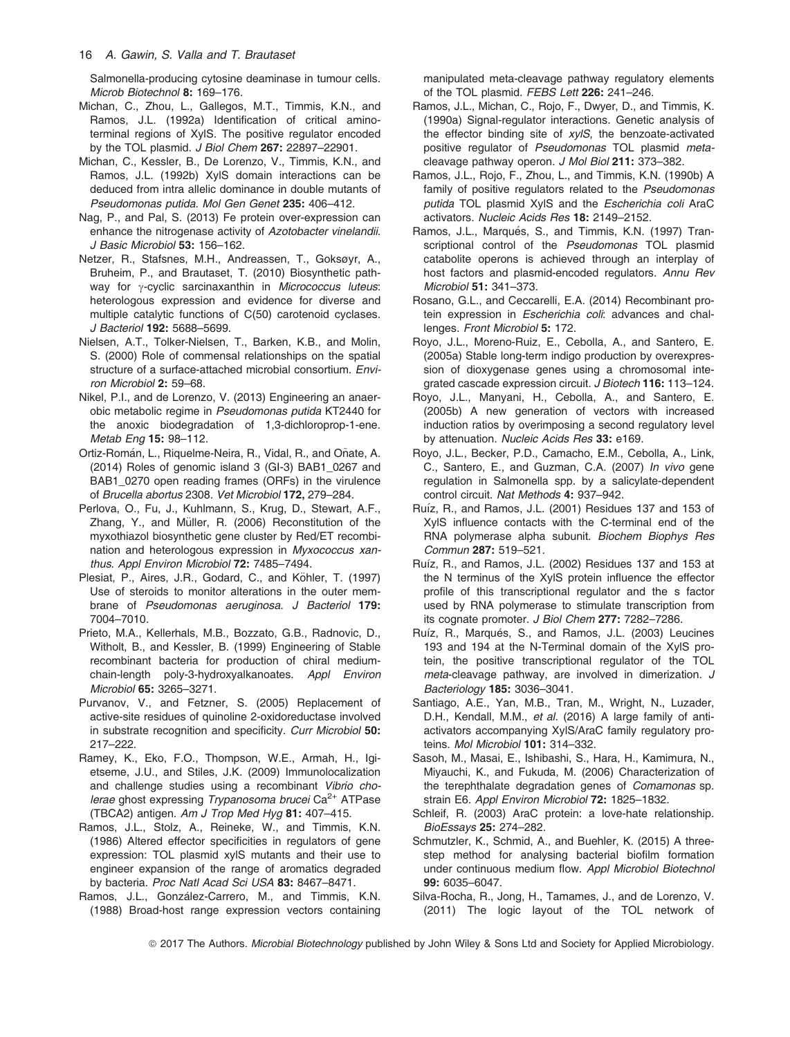Salmonella-producing cytosine deaminase in tumour cells. Microb Biotechnol 8: 169–176.

- Michan, C., Zhou, L., Gallegos, M.T., Timmis, K.N., and Ramos, J.L. (1992a) Identification of critical aminoterminal regions of XylS. The positive regulator encoded by the TOL plasmid. J Biol Chem 267: 22897-22901.
- Michan, C., Kessler, B., De Lorenzo, V., Timmis, K.N., and Ramos, J.L. (1992b) XylS domain interactions can be deduced from intra allelic dominance in double mutants of Pseudomonas putida. Mol Gen Genet 235: 406–412.
- Nag, P., and Pal, S. (2013) Fe protein over-expression can enhance the nitrogenase activity of Azotobacter vinelandii. J Basic Microbiol 53: 156–162.
- Netzer, R., Stafsnes, M.H., Andreassen, T., Goksøyr, A., Bruheim, P., and Brautaset, T. (2010) Biosynthetic pathway for  $\gamma$ -cyclic sarcinaxanthin in Micrococcus luteus: heterologous expression and evidence for diverse and multiple catalytic functions of C(50) carotenoid cyclases. J Bacteriol 192: 5688–5699.
- Nielsen, A.T., Tolker-Nielsen, T., Barken, K.B., and Molin, S. (2000) Role of commensal relationships on the spatial structure of a surface-attached microbial consortium. Environ Microbiol 2: 59–68.
- Nikel, P.I., and de Lorenzo, V. (2013) Engineering an anaerobic metabolic regime in Pseudomonas putida KT2440 for the anoxic biodegradation of 1,3-dichloroprop-1-ene. Metab Eng 15: 98–112.
- Ortiz-Román, L., Riguelme-Neira, R., Vidal, R., and Oñate, A. (2014) Roles of genomic island 3 (GI-3) BAB1\_0267 and BAB1\_0270 open reading frames (ORFs) in the virulence of Brucella abortus 2308. Vet Microbiol 172, 279–284.
- Perlova, O., Fu, J., Kuhlmann, S., Krug, D., Stewart, A.F., Zhang, Y., and Müller, R. (2006) Reconstitution of the myxothiazol biosynthetic gene cluster by Red/ET recombination and heterologous expression in Myxococcus xanthus. Appl Environ Microbiol 72: 7485–7494.
- Plesiat, P., Aires, J.R., Godard, C., and Köhler, T. (1997) Use of steroids to monitor alterations in the outer membrane of Pseudomonas aeruginosa. J Bacteriol 179: 7004–7010.
- Prieto, M.A., Kellerhals, M.B., Bozzato, G.B., Radnovic, D., Witholt, B., and Kessler, B. (1999) Engineering of Stable recombinant bacteria for production of chiral mediumchain-length poly-3-hydroxyalkanoates. Appl Environ Microbiol 65: 3265–3271.
- Purvanov, V., and Fetzner, S. (2005) Replacement of active-site residues of quinoline 2-oxidoreductase involved in substrate recognition and specificity. Curr Microbiol 50: 217–222.
- Ramey, K., Eko, F.O., Thompson, W.E., Armah, H., Igietseme, J.U., and Stiles, J.K. (2009) Immunolocalization and challenge studies using a recombinant Vibrio cholerae ghost expressing Trypanosoma brucei Ca<sup>2+</sup> ATPase (TBCA2) antigen. Am J Trop Med Hyg 81: 407–415.
- Ramos, J.L., Stolz, A., Reineke, W., and Timmis, K.N. (1986) Altered effector specificities in regulators of gene expression: TOL plasmid xylS mutants and their use to engineer expansion of the range of aromatics degraded by bacteria. Proc Natl Acad Sci USA 83: 8467–8471.
- Ramos, J.L., González-Carrero, M., and Timmis, K.N. (1988) Broad-host range expression vectors containing

manipulated meta-cleavage pathway regulatory elements of the TOL plasmid. FEBS Lett 226: 241-246.

- Ramos, J.L., Michan, C., Rojo, F., Dwyer, D., and Timmis, K. (1990a) Signal-regulator interactions. Genetic analysis of the effector binding site of  $xy/S$ , the benzoate-activated positive regulator of Pseudomonas TOL plasmid metacleavage pathway operon. J Mol Biol 211: 373–382.
- Ramos, J.L., Rojo, F., Zhou, L., and Timmis, K.N. (1990b) A family of positive regulators related to the Pseudomonas putida TOL plasmid XylS and the Escherichia coli AraC activators. Nucleic Acids Res 18: 2149–2152.
- Ramos, J.L., Marqués, S., and Timmis, K.N. (1997) Transcriptional control of the Pseudomonas TOL plasmid catabolite operons is achieved through an interplay of host factors and plasmid-encoded regulators. Annu Rev Microbiol 51: 341–373.
- Rosano, G.L., and Ceccarelli, E.A. (2014) Recombinant protein expression in Escherichia coli: advances and challenges. Front Microbiol 5: 172.
- Royo, J.L., Moreno-Ruiz, E., Cebolla, A., and Santero, E. (2005a) Stable long-term indigo production by overexpression of dioxygenase genes using a chromosomal integrated cascade expression circuit. J Biotech 116: 113–124.
- Royo, J.L., Manyani, H., Cebolla, A., and Santero, E. (2005b) A new generation of vectors with increased induction ratios by overimposing a second regulatory level by attenuation. Nucleic Acids Res 33: e169.
- Royo, J.L., Becker, P.D., Camacho, E.M., Cebolla, A., Link, C., Santero, E., and Guzman, C.A. (2007) In vivo gene regulation in Salmonella spp. by a salicylate-dependent control circuit. Nat Methods 4: 937–942.
- Ruíz, R., and Ramos, J.L. (2001) Residues 137 and 153 of XylS influence contacts with the C-terminal end of the RNA polymerase alpha subunit. Biochem Biophys Res Commun 287: 519–521.
- Ruíz, R., and Ramos, J.L. (2002) Residues 137 and 153 at the N terminus of the XylS protein influence the effector profile of this transcriptional regulator and the s factor used by RNA polymerase to stimulate transcription from its cognate promoter. J Biol Chem 277: 7282–7286.
- Ruíz, R., Marqués, S., and Ramos, J.L. (2003) Leucines 193 and 194 at the N-Terminal domain of the XylS protein, the positive transcriptional regulator of the TOL meta-cleavage pathway, are involved in dimerization. J Bacteriology 185: 3036–3041.
- Santiago, A.E., Yan, M.B., Tran, M., Wright, N., Luzader, D.H., Kendall, M.M., et al. (2016) A large family of antiactivators accompanying XylS/AraC family regulatory proteins. Mol Microbiol 101: 314-332.
- Sasoh, M., Masai, E., Ishibashi, S., Hara, H., Kamimura, N., Miyauchi, K., and Fukuda, M. (2006) Characterization of the terephthalate degradation genes of Comamonas sp. strain E6. Appl Environ Microbiol 72: 1825–1832.
- Schleif, R. (2003) AraC protein: a love-hate relationship. BioEssays 25: 274–282.
- Schmutzler, K., Schmid, A., and Buehler, K. (2015) A threestep method for analysing bacterial biofilm formation under continuous medium flow. Appl Microbiol Biotechnol 99: 6035–6047.
- Silva-Rocha, R., Jong, H., Tamames, J., and de Lorenzo, V. (2011) The logic layout of the TOL network of